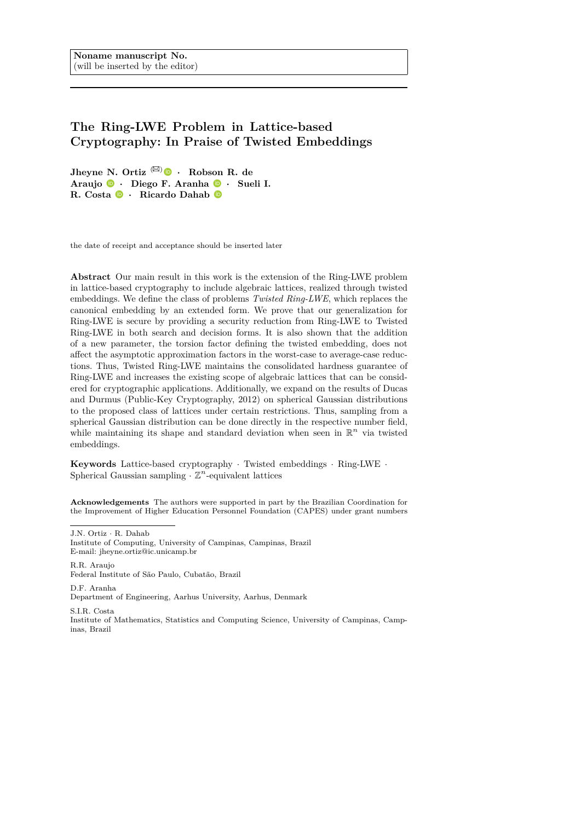# **The Ring-LWE Problem in Lattice-based Cryptography: In Praise of Twisted Embeddings**

**Jheyne N. Ortiz**  $(\boxtimes)$  *•* **Robson R. de Araujo** *·* **Diego F. Aranha** *·* **Sueli I. R. Costa** *·* **Ricardo Dahab**

the date of receipt and acceptance should be inserted later

**Abstract** Our main result in this work is the extension of the Ring-LWE problem in lattice-based cryptography to include algebraic lattices, realized through twisted embeddings. We define the class of problems *Twisted Ring-LWE*, which replaces the canonical embedding by an extended form. We prove that our generalization for Ring-LWE is secure by providing a security reduction from Ring-LWE to Twisted Ring-LWE in both search and decision forms. It is also shown that the addition of a new parameter, the torsion factor defining the twisted embedding, does not affect the asymptotic approximation factors in the worst-case to average-case reductions. Thus, Twisted Ring-LWE maintains the consolidated hardness guarantee of Ring-LWE and increases the existing scope of algebraic lattices that can be considered for cryptographic applications. Additionally, we expand on the results of Ducas and Durmus (Public-Key Cryptography, 2012) on spherical Gaussian distributions to the proposed class of lattices under certain restrictions. Thus, sampling from a spherical Gaussian distribution can be done directly in the respective number field, while maintaining its shape and standard deviation when seen in  $\mathbb{R}^n$  via twisted embeddings.

**Keywords** Lattice-based cryptography *·* Twisted embeddings *·* Ring-LWE *·* Spherical Gaussian sampling  $\cdot$   $\mathbb{Z}^n$ -equivalent lattices

**Acknowledgements** The authors were supported in part by the Brazilian Coordination for the Improvement of Higher Education Personnel Foundation (CAPES) under grant numbers

J.N. Ortiz *·* R. Dahab

Institute of Computing, University of Campinas, Campinas, Brazil E-mail: jheyne.ortiz@ic.unicamp.br

R.R. Araujo Federal Institute of São Paulo, Cubatão, Brazil

D.F. Aranha Department of Engineering, Aarhus University, Aarhus, Denmark

S.I.R. Costa

Institute of Mathematics, Statistics and Computing Science, University of Campinas, Campinas, Brazil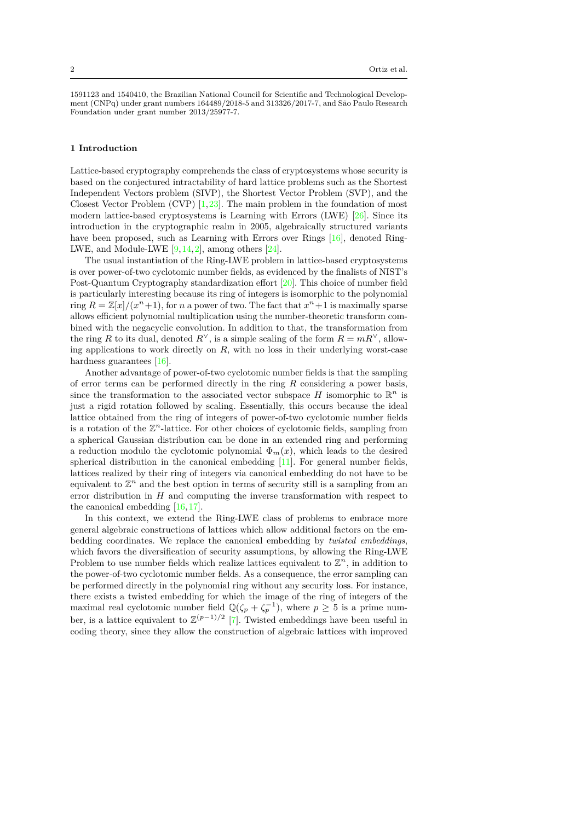1591123 and 1540410, the Brazilian National Council for Scientific and Technological Development (CNPq) under grant numbers 164489/2018-5 and 313326/2017-7, and São Paulo Research Foundation under grant number 2013/25977-7.

# **1 Introduction**

Lattice-based cryptography comprehends the class of cryptosystems whose security is based on the conjectured intractability of hard lattice problems such as the Shortest Independent Vectors problem (SIVP), the Shortest Vector Problem (SVP), and the Closest Vector Problem (CVP)  $[1,23]$  $[1,23]$ . The main problem in the foundation of most modern lattice-based cryptosystems is Learning with Errors (LWE) [[26](#page-22-1)]. Since its introduction in the cryptographic realm in 2005, algebraically structured variants have been proposed, such as Learning with Errors over Rings [[16](#page-21-0)], denoted Ring-LWE, and Module-LWE  $[9, 14, 2]$  $[9, 14, 2]$  $[9, 14, 2]$  $[9, 14, 2]$  $[9, 14, 2]$ , among others  $[24]$ .

The usual instantiation of the Ring-LWE problem in lattice-based cryptosystems is over power-of-two cyclotomic number fields, as evidenced by the finalists of NIST's Post-Quantum Cryptography standardization effort [[20](#page-21-4)]. This choice of number field is particularly interesting because its ring of integers is isomorphic to the polynomial ring  $R = \mathbb{Z}[x]/(x^n + 1)$ , for *n* a power of two. The fact that  $x^n + 1$  is maximally sparse allows efficient polynomial multiplication using the number-theoretic transform combined with the negacyclic convolution. In addition to that, the transformation from the ring *R* to its dual, denoted  $R^{\vee}$ , is a simple scaling of the form  $R = mR^{\vee}$ , allowing applications to work directly on *R*, with no loss in their underlying worst-case hardness guarantees [[16](#page-21-0)].

Another advantage of power-of-two cyclotomic number fields is that the sampling of error terms can be performed directly in the ring *R* considering a power basis, since the transformation to the associated vector subspace  $H$  isomorphic to  $\mathbb{R}^n$  is just a rigid rotation followed by scaling. Essentially, this occurs because the ideal lattice obtained from the ring of integers of power-of-two cyclotomic number fields is a rotation of the  $\mathbb{Z}^n$ -lattice. For other choices of cyclotomic fields, sampling from a spherical Gaussian distribution can be done in an extended ring and performing a reduction modulo the cyclotomic polynomial  $\Phi_m(x)$ , which leads to the desired spherical distribution in the canonical embedding [\[11\]](#page-21-5). For general number fields, lattices realized by their ring of integers via canonical embedding do not have to be equivalent to  $\mathbb{Z}^n$  and the best option in terms of security still is a sampling from an error distribution in *H* and computing the inverse transformation with respect to the canonical embedding [\[16,](#page-21-0)[17\]](#page-21-6).

In this context, we extend the Ring-LWE class of problems to embrace more general algebraic constructions of lattices which allow additional factors on the embedding coordinates. We replace the canonical embedding by *twisted embeddings*, which favors the diversification of security assumptions, by allowing the Ring-LWE Problem to use number fields which realize lattices equivalent to  $\mathbb{Z}^n$ , in addition to the power-of-two cyclotomic number fields. As a consequence, the error sampling can be performed directly in the polynomial ring without any security loss. For instance, there exists a twisted embedding for which the image of the ring of integers of the maximal real cyclotomic number field  $\mathbb{Q}(\zeta_p + \zeta_p^{-1})$ , where  $p \geq 5$  is a prime number, is a lattice equivalent to  $\mathbb{Z}^{(p-1)/2}$  [\[7\]](#page-21-7). Twisted embeddings have been useful in coding theory, since they allow the construction of algebraic lattices with improved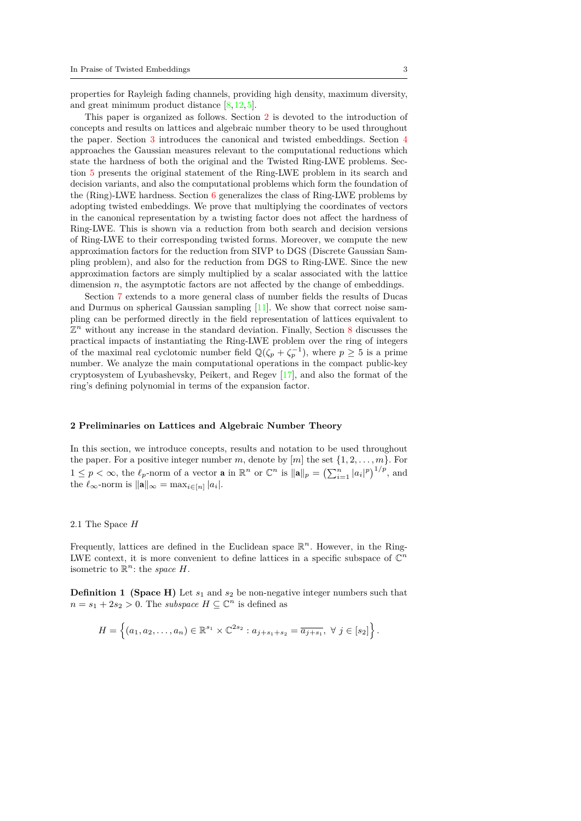properties for Rayleigh fading channels, providing high density, maximum diversity, and great minimum product distance  $[8,12,5]$  $[8,12,5]$  $[8,12,5]$  $[8,12,5]$  $[8,12,5]$ .

This paper is organized as follows. Section [2](#page-2-0) is devoted to the introduction of concepts and results on lattices and algebraic number theory to be used throughout the paper. Section [3](#page-6-0) introduces the canonical and twisted embeddings. Section [4](#page-9-0) approaches the Gaussian measures relevant to the computational reductions which state the hardness of both the original and the Twisted Ring-LWE problems. Section [5](#page-10-0) presents the original statement of the Ring-LWE problem in its search and decision variants, and also the computational problems which form the foundation of the (Ring)-LWE hardness. Section [6](#page-12-0) generalizes the class of Ring-LWE problems by adopting twisted embeddings. We prove that multiplying the coordinates of vectors in the canonical representation by a twisting factor does not affect the hardness of Ring-LWE. This is shown via a reduction from both search and decision versions of Ring-LWE to their corresponding twisted forms. Moreover, we compute the new approximation factors for the reduction from SIVP to DGS (Discrete Gaussian Sampling problem), and also for the reduction from DGS to Ring-LWE. Since the new approximation factors are simply multiplied by a scalar associated with the lattice dimension  $n$ , the asymptotic factors are not affected by the change of embeddings.

Section [7](#page-15-0) extends to a more general class of number fields the results of Ducas and Durmus on spherical Gaussian sampling [[11](#page-21-5)]. We show that correct noise sampling can be performed directly in the field representation of lattices equivalent to  $\mathbb{Z}^n$  without any increase in the standard deviation. Finally, Section [8](#page-18-0) discusses the practical impacts of instantiating the Ring-LWE problem over the ring of integers of the maximal real cyclotomic number field  $\mathbb{Q}(\zeta_p + \zeta_p^{-1})$ , where  $p \geq 5$  is a prime number. We analyze the main computational operations in the compact public-key cryptosystem of Lyubashevsky, Peikert, and Regev [[17](#page-21-6)], and also the format of the ring's defining polynomial in terms of the expansion factor.

#### <span id="page-2-0"></span>**2 Preliminaries on Lattices and Algebraic Number Theory**

In this section, we introduce concepts, results and notation to be used throughout the paper. For a positive integer number *m*, denote by  $[m]$  the set  $\{1, 2, \ldots, m\}$ . For  $1 \leq p < \infty$ , the  $\ell_p$ -norm of a vector **a** in  $\mathbb{R}^n$  or  $\mathbb{C}^n$  is  $\|\mathbf{a}\|_p = \left(\sum_{i=1}^n |a_i|^p\right)^{1/p}$ , and the  $\ell_{\infty}$ -norm is  $||\mathbf{a}||_{\infty} = \max_{i \in [n]} |a_i|$ .

#### 2.1 The Space *H*

Frequently, lattices are defined in the Euclidean space  $\mathbb{R}^n$ . However, in the Ring-LWE context, it is more convenient to define lattices in a specific subspace of  $\mathbb{C}^n$ isometric to  $\mathbb{R}^n$ : the *space*  $H$ .

**Definition 1 (Space H)** Let *s*<sup>1</sup> and *s*<sup>2</sup> be non-negative integer numbers such that  $n = s_1 + 2s_2 > 0$ . The *subspace*  $H \subseteq \mathbb{C}^n$  is defined as

$$
H = \left\{ (a_1, a_2, \ldots, a_n) \in \mathbb{R}^{s_1} \times \mathbb{C}^{2s_2} : a_{j+s_1+s_2} = \overline{a_{j+s_1}}, \ \forall \ j \in [s_2] \right\}.
$$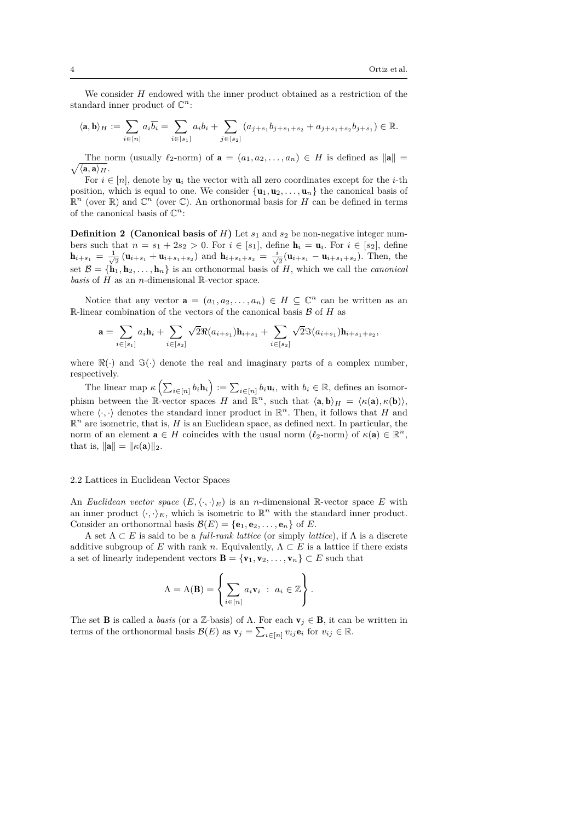We consider *H* endowed with the inner product obtained as a restriction of the standard inner product of  $\mathbb{C}^n$ :

$$
\langle \mathbf{a}, \mathbf{b} \rangle_H := \sum_{i \in [n]} a_i \overline{b_i} = \sum_{i \in [s_1]} a_i b_i + \sum_{j \in [s_2]} (a_{j+s_1} b_{j+s_1+s_2} + a_{j+s_1+s_2} b_{j+s_1}) \in \mathbb{R}.
$$

 $\sqrt{\langle \mathbf{a}, \mathbf{a} \rangle_H}.$ The norm (usually  $\ell_2$ -norm) of  $\mathbf{a} = (a_1, a_2, \ldots, a_n) \in H$  is defined as  $\|\mathbf{a}\|$ 

For  $i \in [n]$ , denote by  $\mathbf{u}_i$  the vector with all zero coordinates except for the *i*-th position, which is equal to one. We consider  $\{u_1, u_2, \ldots, u_n\}$  the canonical basis of  $\mathbb{R}^n$  (over  $\mathbb{R}$ ) and  $\mathbb{C}^n$  (over  $\mathbb{C}$ ). An orthonormal basis for *H* can be defined in terms of the canonical basis of  $\mathbb{C}^n$ :

**Definition 2** (Canonical basis of  $H$ ) Let  $s_1$  and  $s_2$  be non-negative integer numbers such that  $n = s_1 + 2s_2 > 0$ . For  $i \in [s_1]$ , define  $\mathbf{h}_i = \mathbf{u}_i$ . For  $i \in [s_2]$ , define  $h_{i+s_1} = \frac{1}{\sqrt{2}} (\mathbf{u}_{i+s_1} + \mathbf{u}_{i+s_1+s_2})$  and  $h_{i+s_1+s_2} = \frac{i}{\sqrt{2}} (\mathbf{u}_{i+s_1} - \mathbf{u}_{i+s_1+s_2})$ . Then, the set  $\mathcal{B} = {\bf{h}_1, h_2, \ldots, h_n}$  is an orthonormal basis of *H*, which we call the *canonical basis* of *H* as an *n*-dimensional R-vector space.

Notice that any vector  $\mathbf{a} = (a_1, a_2, \dots, a_n) \in H \subseteq \mathbb{C}^n$  can be written as an R-linear combination of the vectors of the canonical basis  $\beta$  of  $H$  as

$$
\mathbf{a} = \sum_{i \in [s_1]} a_i \mathbf{h}_i + \sum_{i \in [s_2]} \sqrt{2} \Re(a_{i+s_1}) \mathbf{h}_{i+s_1} + \sum_{i \in [s_2]} \sqrt{2} \Im(a_{i+s_1}) \mathbf{h}_{i+s_1+s_2},
$$

where  $\Re(\cdot)$  and  $\Im(\cdot)$  denote the real and imaginary parts of a complex number, respectively.

The linear map  $\kappa\left(\sum_{i\in[n]} b_i \mathbf{h}_i\right) := \sum_{i\in[n]} b_i \mathbf{u}_i$ , with  $b_i \in \mathbb{R}$ , defines an isomorphism between the R-vector spaces *H* and  $\mathbb{R}^n$ , such that  $\langle \mathbf{a}, \mathbf{b} \rangle_H = \langle \kappa(\mathbf{a}), \kappa(\mathbf{b}) \rangle$ , where  $\langle \cdot, \cdot \rangle$  denotes the standard inner product in  $\mathbb{R}^n$ . Then, it follows that *H* and  $\mathbb{R}^n$  are isometric, that is, *H* is an Euclidean space, as defined next. In particular, the norm of an element  $\mathbf{a} \in H$  coincides with the usual norm  $(\ell_2\text{-norm})$  of  $\kappa(\mathbf{a}) \in \mathbb{R}^n$ , that is,  $\|\mathbf{a}\| = \|\kappa(\mathbf{a})\|_2$ .

## 2.2 Lattices in Euclidean Vector Spaces

An *Euclidean vector space*  $(E, \langle \cdot, \cdot \rangle_E)$  is an *n*-dimensional R-vector space *E* with an inner product  $\langle \cdot, \cdot \rangle_E$ , which is isometric to  $\mathbb{R}^n$  with the standard inner product. Consider an orthonormal basis  $\mathcal{B}(E) = \{e_1, e_2, \ldots, e_n\}$  of *E*.

A set Λ *⊂ E* is said to be a *full-rank lattice* (or simply *lattice*), if Λ is a discrete additive subgroup of *E* with rank *n*. Equivalently,  $\Lambda \subset E$  is a lattice if there exists a set of linearly independent vectors  $\mathbf{B} = {\mathbf{v}_1, \mathbf{v}_2, \dots, \mathbf{v}_n} \subset E$  such that

$$
\Lambda = \Lambda(\mathbf{B}) = \left\{ \sum_{i \in [n]} a_i \mathbf{v}_i \ : \ a_i \in \mathbb{Z} \right\}.
$$

The set **B** is called a *basis* (or a Z-basis) of  $\Lambda$ . For each  $\mathbf{v}_j \in \mathbf{B}$ , it can be written in terms of the orthonormal basis  $\mathcal{B}(E)$  as  $\mathbf{v}_j = \sum_{i \in [n]} v_{ij} \mathbf{e}_i$  for  $v_{ij} \in \mathbb{R}$ .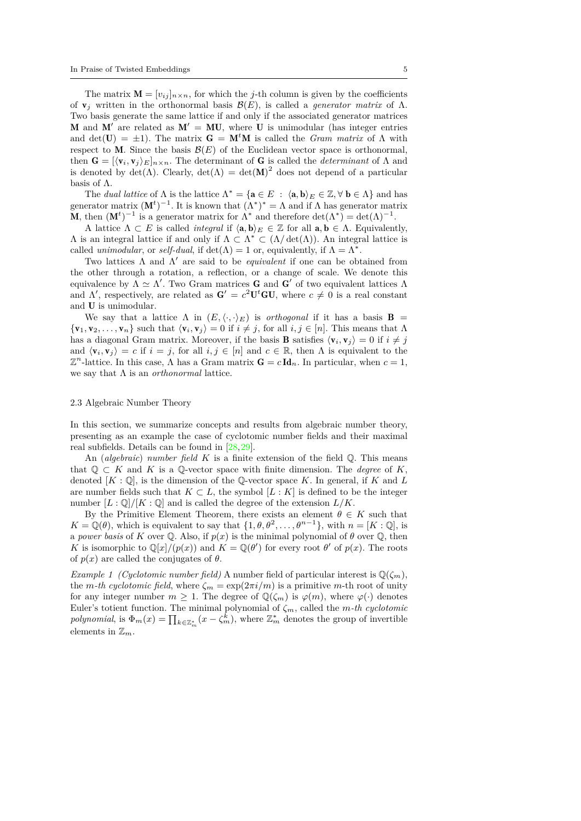The matrix  $\mathbf{M} = [v_{ij}]_{n \times n}$ , for which the *j*-th column is given by the coefficients of  $\mathbf{v}_i$  written in the orthonormal basis  $\mathcal{B}(E)$ , is called a *generator matrix* of  $\Lambda$ . Two basis generate the same lattice if and only if the associated generator matrices **M** and **M**<sup> $\prime$ </sup> are related as  $M' = MU$ , where U is unimodular (has integer entries and det( $\mathbf{U}$ ) =  $\pm 1$ ). The matrix  $\mathbf{G} = \mathbf{M}^t \mathbf{M}$  is called the *Gram matrix* of  $\Lambda$  with respect to M. Since the basis  $\mathcal{B}(E)$  of the Euclidean vector space is orthonormal, then  $\mathbf{G} = [\langle \mathbf{v}_i, \mathbf{v}_j \rangle_E]_{n \times n}$ . The determinant of G is called the *determinant* of  $\Lambda$  and is denoted by  $\det(\Lambda)$ . Clearly,  $\det(\Lambda) = \det(M)^2$  does not depend of a particular basis of Λ.

The *dual lattice* of  $\Lambda$  is the lattice  $\Lambda^* = {\mathbf{a} \in E : \langle \mathbf{a}, \mathbf{b} \rangle_E \in \mathbb{Z}, \forall \mathbf{b} \in \Lambda}$  and has generator matrix  $(M<sup>t</sup>)<sup>-1</sup>$ . It is known that  $(\Lambda^*)^* = \Lambda$  and if  $\Lambda$  has generator matrix **M**, then  $(M<sup>t</sup>)<sup>-1</sup>$  is a generator matrix for  $\Lambda^*$  and therefore  $det(\Lambda^*) = det(\Lambda)^{-1}$ .

A lattice  $\Lambda \subset E$  is called *integral* if  $\langle \mathbf{a}, \mathbf{b} \rangle_E \in \mathbb{Z}$  for all  $\mathbf{a}, \mathbf{b} \in \Lambda$ . Equivalently,  $Λ$  is an integral lattice if and only if  $Λ ⊂ Λ^* ⊂ (Λ/ det(Λ))$ . An integral lattice is called *unimodular*, or *self-dual*, if  $det(\Lambda) = 1$  or, equivalently, if  $\Lambda = \Lambda^*$ .

Two lattices Λ and Λ *′* are said to be *equivalent* if one can be obtained from the other through a rotation, a reflection, or a change of scale. We denote this equivalence by  $\Lambda \simeq \Lambda'$ . Two Gram matrices **G** and **G**' of two equivalent lattices  $\Lambda$ and  $\Lambda'$ , respectively, are related as  $G' = c^2 U^t G U$ , where  $c \neq 0$  is a real constant and U is unimodular.

We say that a lattice  $\Lambda$  in  $(E, \langle \cdot, \cdot \rangle_E)$  is *orthogonal* if it has a basis **B** =  $\{v_1, v_2, \ldots, v_n\}$  such that  $\langle v_i, v_j \rangle = 0$  if  $i \neq j$ , for all  $i, j \in [n]$ . This means that  $\Lambda$ has a diagonal Gram matrix. Moreover, if the basis **B** satisfies  $\langle \mathbf{v}_i, \mathbf{v}_j \rangle = 0$  if  $i \neq j$ and  $\langle \mathbf{v}_i, \mathbf{v}_j \rangle = c$  if  $i = j$ , for all  $i, j \in [n]$  and  $c \in \mathbb{R}$ , then  $\Lambda$  is equivalent to the  $\mathbb{Z}^n$ -lattice. In this case,  $\Lambda$  has a Gram matrix  $\mathbf{G} = c \, \mathrm{Id}_n$ . In particular, when  $c = 1$ , we say that Λ is an *orthonormal* lattice.

## 2.3 Algebraic Number Theory

In this section, we summarize concepts and results from algebraic number theory, presenting as an example the case of cyclotomic number fields and their maximal real subfields. Details can be found in [\[28](#page-22-3),[29\]](#page-22-4).

An (*algebraic*) *number field K* is a finite extension of the field Q. This means that  $\mathbb{Q} \subset K$  and K is a  $\mathbb{Q}$ -vector space with finite dimension. The *degree* of K, denoted [*K* : Q], is the dimension of the Q-vector space *K*. In general, if *K* and *L* are number fields such that  $K \subset L$ , the symbol  $[L: K]$  is defined to be the integer number  $[L:\mathbb{Q}]/[K:\mathbb{Q}]$  and is called the degree of the extension  $L/K$ .

By the Primitive Element Theorem, there exists an element  $\theta \in K$  such that  $K = \mathbb{Q}(\theta)$ , which is equivalent to say that  $\{1, \theta, \theta^2, \dots, \theta^{n-1}\}$ , with  $n = [K : \mathbb{Q}]$ , is a *power basis* of *K* over Q. Also, if  $p(x)$  is the minimal polynomial of  $\theta$  over Q, then *K* is isomorphic to  $\mathbb{Q}[x]/(p(x))$  and  $K = \mathbb{Q}(\theta')$  for every root  $\theta'$  of  $p(x)$ . The roots of  $p(x)$  are called the conjugates of  $\theta$ .

*Example 1 (Cyclotomic number field)* A number field of particular interest is  $\mathbb{Q}(\zeta_m)$ , the *m*-th cyclotomic field, where  $\zeta_m = \exp(2\pi i/m)$  is a primitive *m*-th root of unity for any integer number  $m \geq 1$ . The degree of  $\mathbb{Q}(\zeta_m)$  is  $\varphi(m)$ , where  $\varphi(\cdot)$  denotes Euler's totient function. The minimal polynomial of  $\zeta_m$ , called the *m-th cyclotomic polynomial*, is  $\Phi_m(x) = \prod_{k \in \mathbb{Z}_m^*} (x - \zeta_m^k)$ , where  $\mathbb{Z}_m^*$  denotes the group of invertible elements in  $\mathbb{Z}_m$ .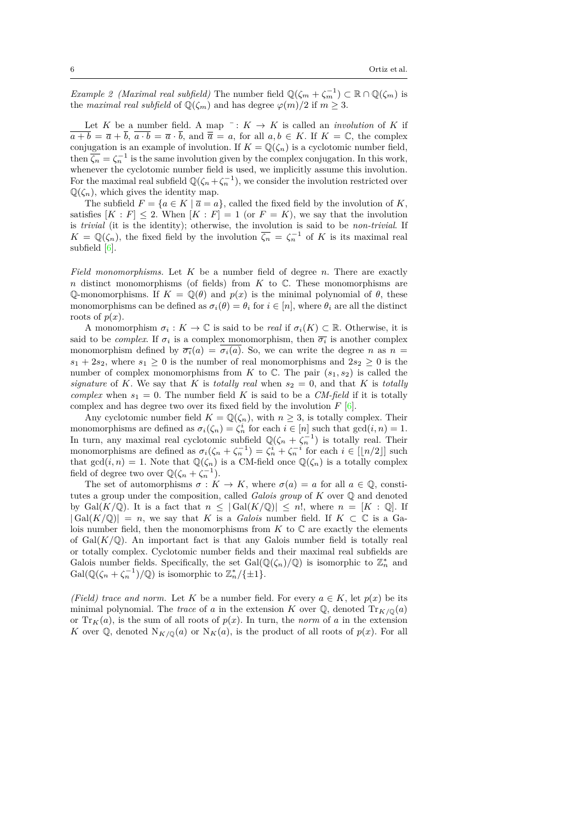*Example 2 (Maximal real subfield)* The number field  $\mathbb{Q}(\zeta_m + \zeta_m^{-1}) \subset \mathbb{R} \cap \mathbb{Q}(\zeta_m)$  is the *maximal real subfield* of  $\mathbb{Q}(\zeta_m)$  and has degree  $\varphi(m)/2$  if  $m \geq 3$ .

Let *K* be a number field. A map  $\overline{\phantom{a}}$ :  $K \rightarrow K$  is called an *involution* of *K* if  $\overline{a+b} = \overline{a} + \overline{b}, \ \overline{a \cdot b} = \overline{a} \cdot \overline{b}, \text{ and } \overline{\overline{a}} = a, \text{ for all } a,b \in K. \text{ If } K = \mathbb{C}, \text{ the complex }$ conjugation is an example of involution. If  $K = \mathbb{Q}(\zeta_n)$  is a cyclotomic number field, then  $\overline{\zeta_n} = \zeta_n^{-1}$  is the same involution given by the complex conjugation. In this work, whenever the cyclotomic number field is used, we implicitly assume this involution. For the maximal real subfield  $\mathbb{Q}(\zeta_n+\zeta_n^{-1})$ , we consider the involution restricted over  $\mathbb{Q}(\zeta_n)$ , which gives the identity map.

The subfield  $F = \{a \in K \mid \overline{a} = a\}$ , called the fixed field by the involution of *K*, satisfies  $[K : F] \leq 2$ . When  $[K : F] = 1$  (or  $F = K$ ), we say that the involution is *trivial* (it is the identity); otherwise, the involution is said to be *non-trivial*. If  $K = \mathbb{Q}(\zeta_n)$ , the fixed field by the involution  $\overline{\zeta_n} = \zeta_n^{-1}$  of *K* is its maximal real subfield [\[6](#page-21-11)].

*Field monomorphisms.* Let *K* be a number field of degree *n*. There are exactly *n* distinct monomorphisms (of fields) from *K* to  $\mathbb{C}$ . These monomorphisms are  $\mathbb{Q}$ -monomorphisms. If  $K = \mathbb{Q}(\theta)$  and  $p(x)$  is the minimal polynomial of  $\theta$ , these monomorphisms can be defined as  $\sigma_i(\theta) = \theta_i$  for  $i \in [n]$ , where  $\theta_i$  are all the distinct roots of  $p(x)$ .

A monomorphism  $\sigma_i : K \to \mathbb{C}$  is said to be *real* if  $\sigma_i(K) \subset \mathbb{R}$ . Otherwise, it is said to be *complex*. If  $\sigma_i$  is a complex monomorphism, then  $\overline{\sigma_i}$  is another complex monomorphism defined by  $\overline{\sigma_i}(a) = \overline{\sigma_i(a)}$ . So, we can write the degree *n* as  $n =$  $s_1 + 2s_2$ , where  $s_1 \geq 0$  is the number of real monomorphisms and  $2s_2 \geq 0$  is the number of complex monomorphisms from *K* to  $\mathbb{C}$ . The pair  $(s_1, s_2)$  is called the *signature* of *K*. We say that *K* is *totally real* when  $s_2 = 0$ , and that *K* is *totally complex* when  $s_1 = 0$ . The number field *K* is said to be a *CM-field* if it is totally complex and has degree two over its fixed field by the involution  $F$  [[6](#page-21-11)].

Any cyclotomic number field  $K = \mathbb{Q}(\zeta_n)$ , with  $n \geq 3$ , is totally complex. Their monomorphisms are defined as  $\sigma_i(\zeta_n) = \zeta_n^i$  for each  $i \in [n]$  such that  $gcd(i, n) = 1$ . In turn, any maximal real cyclotomic subfield  $\mathbb{Q}(\zeta_n + \zeta_n^{-1})$  is totally real. Their monomorphisms are defined as  $\sigma_i(\zeta_n + \zeta_n^{-1}) = \zeta_n^i + \zeta_n^{-i}$  for each  $i \in [\lfloor n/2 \rfloor]$  such that  $gcd(i, n) = 1$ . Note that  $\mathbb{Q}(\zeta_n)$  is a CM-field once  $\mathbb{Q}(\zeta_n)$  is a totally complex field of degree two over  $\mathbb{Q}(\zeta_n + \zeta_n^{-1})$ .

The set of automorphisms  $\sigma : K \to K$ , where  $\sigma(a) = a$  for all  $a \in \mathbb{Q}$ , constitutes a group under the composition, called *Galois group* of *K* over Q and denoted by Gal( $K/\mathbb{Q}$ ). It is a fact that  $n \leq |\text{Gal}(K/\mathbb{Q})| \leq n!$ , where  $n = [K : \mathbb{Q}]$ . If  $|{\rm Gal}(K/\mathbb{Q})| = n$ , we say that *K* is a *Galois* number field. If  $K \subset \mathbb{C}$  is a Galois number field, then the monomorphisms from  $K$  to  $\mathbb C$  are exactly the elements of  $Gal(K/\mathbb{Q})$ . An important fact is that any Galois number field is totally real or totally complex. Cyclotomic number fields and their maximal real subfields are Galois number fields. Specifically, the set  $Gal(\mathbb{Q}(\zeta_n)/\mathbb{Q})$  is isomorphic to  $\mathbb{Z}_n^*$  and Gal( $\mathbb{Q}(\zeta_n + \zeta_n^{-1})/\mathbb{Q}$ ) is isomorphic to  $\mathbb{Z}_n^*/\{\pm 1\}$ .

*(Field) trace and norm.* Let *K* be a number field. For every  $a \in K$ , let  $p(x)$  be its minimal polynomial. The *trace* of *a* in the extension *K* over  $\mathbb{Q}$ , denoted  $Tr_{K/\mathbb{Q}}(a)$ or  $Tr_K(a)$ , is the sum of all roots of  $p(x)$ . In turn, the *norm* of *a* in the extension *K* over  $\mathbb{Q}$ , denoted  $N_{K/\mathbb{Q}}(a)$  or  $N_K(a)$ , is the product of all roots of  $p(x)$ . For all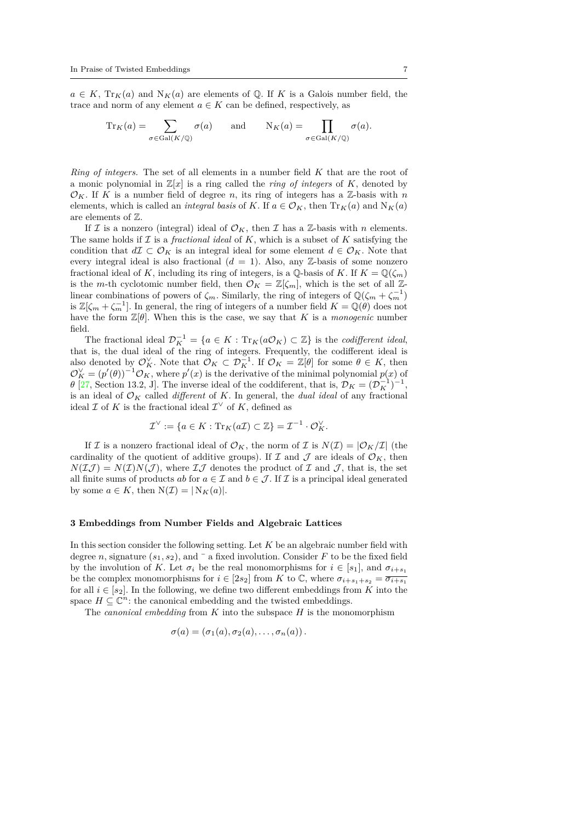$a \in K$ ,  $Tr_K(a)$  and  $N_K(a)$  are elements of Q. If *K* is a Galois number field, the trace and norm of any element  $a \in K$  can be defined, respectively, as

$$
\mathrm{Tr}_K(a) = \sum_{\sigma \in \mathrm{Gal}(K/\mathbb{Q})} \sigma(a) \quad \text{and} \quad \mathrm{N}_K(a) = \prod_{\sigma \in \mathrm{Gal}(K/\mathbb{Q})} \sigma(a).
$$

*Ring of integers.* The set of all elements in a number field *K* that are the root of a monic polynomial in  $\mathbb{Z}[x]$  is a ring called the *ring of integers* of K, denoted by  $\mathcal{O}_K$ . If *K* is a number field of degree *n*, its ring of integers has a Z-basis with *n* elements, which is called an *integral basis* of *K*. If  $a \in \mathcal{O}_K$ , then  $Tr_K(a)$  and  $N_K(a)$ are elements of Z.

If *I* is a nonzero (integral) ideal of  $\mathcal{O}_K$ , then *I* has a *Z*-basis with *n* elements. The same holds if *I* is a *fractional ideal* of *K*, which is a subset of *K* satisfying the condition that  $d\mathcal{I} \subset \mathcal{O}_K$  is an integral ideal for some element  $d \in \mathcal{O}_K$ . Note that every integral ideal is also fractional  $(d = 1)$ . Also, any  $\mathbb{Z}$ -basis of some nonzero fractional ideal of *K*, including its ring of integers, is a Q-basis of *K*. If  $K = \mathbb{Q}(\zeta_m)$ is the *m*-th cyclotomic number field, then  $\mathcal{O}_K = \mathbb{Z}[\zeta_m]$ , which is the set of all Zlinear combinations of powers of  $\zeta_m$ . Similarly, the ring of integers of  $\mathbb{Q}(\zeta_m + \zeta_m^{-1})$ is  $\mathbb{Z}[\zeta_m + \zeta_m^{-1}]$ . In general, the ring of integers of a number field  $K = \mathbb{Q}(\theta)$  does not have the form  $\mathbb{Z}[\theta]$ . When this is the case, we say that *K* is a *monogenic* number field.

The fractional ideal  $\mathcal{D}_K^{-1} = \{a \in K : \text{Tr}_K(a\mathcal{O}_K) \subset \mathbb{Z}\}$  is the *codifferent ideal*, that is, the dual ideal of the ring of integers. Frequently, the codifferent ideal is also denoted by  $\mathcal{O}_K^{\vee}$ . Note that  $\mathcal{O}_K \subset \mathcal{D}_K^{-1}$ . If  $\mathcal{O}_K = \mathbb{Z}[\theta]$  for some  $\theta \in K$ , then  $\mathcal{O}_K^{\vee} = (p'(\theta))^{-1} \mathcal{O}_K$ , where  $p'(x)$  is the derivative of the minimal polynomial  $p(x)$  of *θ* [\[27,](#page-22-5) Section 13.2, J]. The inverse ideal of the coddiferent, that is,  $\mathcal{D}_K = (\mathcal{D}_K^{-1})^{-1}$ , is an ideal of *O<sup>K</sup>* called *different* of *K*. In general, the *dual ideal* of any fractional ideal  $\mathcal{I}$  of  $K$  is the fractional ideal  $\mathcal{I}^{\vee}$  of  $K$ , defined as

$$
\mathcal{I}^{\vee} := \{ a \in K : \mathrm{Tr}_K(a\mathcal{I}) \subset \mathbb{Z} \} = \mathcal{I}^{-1} \cdot \mathcal{O}_K^{\vee}.
$$

If *I* is a nonzero fractional ideal of  $\mathcal{O}_K$ , the norm of *I* is  $N(\mathcal{I}) = |\mathcal{O}_K/\mathcal{I}|$  (the cardinality of the quotient of additive groups). If  $\mathcal I$  and  $\mathcal J$  are ideals of  $\mathcal O_K$ , then  $N(\mathcal{I}\mathcal{J}) = N(\mathcal{I})N(\mathcal{J})$ , where  $\mathcal{I}\mathcal{J}$  denotes the product of  $\mathcal{I}$  and  $\mathcal{J}$ , that is, the set all finite sums of products *ab* for  $a \in \mathcal{I}$  and  $b \in \mathcal{J}$ . If  $\mathcal{I}$  is a principal ideal generated by some  $a \in K$ , then  $N(\mathcal{I}) = |N_K(a)|$ .

# <span id="page-6-0"></span>**3 Embeddings from Number Fields and Algebraic Lattices**

In this section consider the following setting. Let *K* be an algebraic number field with degree *n*, signature  $(s_1, s_2)$ , and  $\bar{ }$  a fixed involution. Consider *F* to be the fixed field by the involution of *K*. Let  $\sigma_i$  be the real monomorphisms for  $i \in [s_1]$ , and  $\sigma_{i+s_1}$ be the complex monomorphisms for  $i \in [2s_2]$  from *K* to C, where  $\sigma_{i+s_1+s_2} = \overline{\sigma_{i+s_1}}$ for all  $i \in [s_2]$ . In the following, we define two different embeddings from *K* into the space  $H \subseteq \mathbb{C}^n$ : the canonical embedding and the twisted embeddings.

The *canonical embedding* from *K* into the subspace *H* is the monomorphism

$$
\sigma(a)=(\sigma_1(a),\sigma_2(a),\ldots,\sigma_n(a)).
$$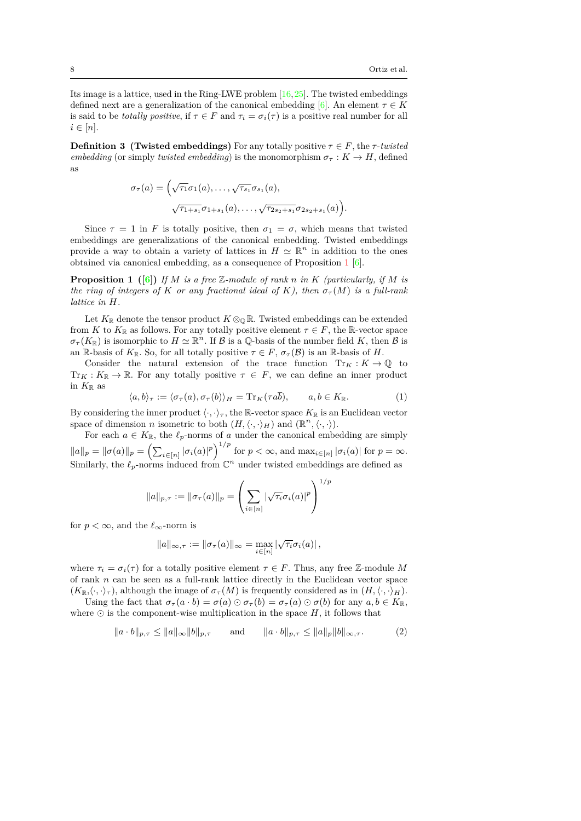Its image is a lattice, used in the Ring-LWE problem [[16](#page-21-0),[25](#page-22-6)]. The twisted embeddings defined next are a generalization of the canonical embedding [\[6\]](#page-21-11). An element  $\tau \in K$ is said to be *totally positive*, if  $\tau \in F$  and  $\tau_i = \sigma_i(\tau)$  is a positive real number for all  $i \in [n]$ .

**Definition 3 (Twisted embeddings)** For any totally positive  $\tau \in F$ , the  $\tau$ -*twisted embedding* (or simply *twisted embedding*) is the monomorphism  $\sigma_{\tau}: K \to H$ , defined as

<span id="page-7-0"></span>
$$
\sigma_{\tau}(a) = \left(\sqrt{\tau_1}\sigma_1(a), \ldots, \sqrt{\tau_{s_1}}\sigma_{s_1}(a),\right.\\ \left.\sqrt{\tau_{1+s_1}}\sigma_{1+s_1}(a), \ldots, \sqrt{\tau_{2s_2+s_1}}\sigma_{2s_2+s_1}(a)\right).
$$

Since  $\tau = 1$  in *F* is totally positive, then  $\sigma_1 = \sigma$ , which means that twisted embeddings are generalizations of the canonical embedding. Twisted embeddings provide a way to obtain a variety of lattices in  $H \simeq \mathbb{R}^n$  in addition to the ones obtained via canonical embedding, as a consequence of Proposition [1](#page-7-0) [[6](#page-21-11)].

**Proposition 1** ([[6\]](#page-21-11)) If *M* is a free Z-module of rank *n* in *K* (particularly, if *M* is *the ring of integers of K or any fractional ideal of K), then*  $\sigma_{\tau}(M)$  *is a full-rank lattice in H.*

Let  $K_{\mathbb{R}}$  denote the tensor product  $K \otimes_{\mathbb{Q}} \mathbb{R}$ . Twisted embeddings can be extended from *K* to  $K_{\mathbb{R}}$  as follows. For any totally positive element  $\tau \in F$ , the R-vector space  $\sigma$ <sup>*τ*</sup> (*K*<sub>R</sub>) is isomorphic to *H*  $\simeq$   $\mathbb{R}^n$ . If *B* is a Q-basis of the number field *K*, then *B* is an R-basis of  $K_{\mathbb{R}}$ . So, for all totally positive  $\tau \in F$ ,  $\sigma_{\tau}(\mathcal{B})$  is an R-basis of *H*.

Consider the natural extension of the trace function  $Tr_K : K \to \mathbb{Q}$  to  $Tr_K: K_{\mathbb{R}} \to \mathbb{R}$ . For any totally positive  $\tau \in F$ , we can define an inner product in  $K_{\mathbb{R}}$  as

$$
\langle a, b \rangle_{\tau} := \langle \sigma_{\tau}(a), \sigma_{\tau}(b) \rangle_H = \mathrm{Tr}_K(\tau a \overline{b}), \qquad a, b \in K_{\mathbb{R}}.
$$
 (1)

By considering the inner product  $\langle \cdot, \cdot \rangle_{\tau}$ , the R-vector space  $K_{\mathbb{R}}$  is an Euclidean vector space of dimension *n* isometric to both  $(H, \langle \cdot, \cdot \rangle_H)$  and  $(\mathbb{R}^n, \langle \cdot, \cdot \rangle)$ .

For each  $a \in K_{\mathbb{R}}$ , the  $\ell_p$ -norms of  $a$  under the canonical embedding are simply  $||a||_p = ||\sigma(a)||_p = \left(\sum_{i \in [n]} |\sigma_i(a)|^p\right)^{1/p}$  for  $p < \infty$ , and  $\max_{i \in [n]} |\sigma_i(a)|$  for  $p = \infty$ . Similarly, the  $\ell_p$ -norms induced from  $\mathbb{C}^n$  under twisted embeddings are defined as

$$
||a||_{p,\tau} := ||\sigma_{\tau}(a)||_p = \left(\sum_{i \in [n]} |\sqrt{\tau_i} \sigma_i(a)|^p\right)^{1/p}
$$

for  $p < \infty$ , and the  $\ell_{\infty}$ -norm is

$$
||a||_{\infty,\tau} := ||\sigma_{\tau}(a)||_{\infty} = \max_{i \in [n]} |\sqrt{\tau_i} \sigma_i(a)|,
$$

where  $\tau_i = \sigma_i(\tau)$  for a totally positive element  $\tau \in F$ . Thus, any free Z-module M of rank *n* can be seen as a full-rank lattice directly in the Euclidean vector space  $(K_{\mathbb{R}}, \langle \cdot, \cdot \rangle_{\tau})$ , although the image of  $\sigma_{\tau}(M)$  is frequently considered as in  $(H, \langle \cdot, \cdot \rangle_H)$ .

Using the fact that  $\sigma_{\tau}(a \cdot b) = \sigma(a) \odot \sigma_{\tau}(b) = \sigma_{\tau}(a) \odot \sigma(b)$  for any  $a, b \in K_{\mathbb{R}},$ where  $\odot$  is the component-wise multiplication in the space  $H$ , it follows that

<span id="page-7-1"></span>
$$
\|a \cdot b\|_{p,\tau} \le \|a\|_{\infty} \|b\|_{p,\tau} \quad \text{and} \quad \|a \cdot b\|_{p,\tau} \le \|a\|_{p} \|b\|_{\infty,\tau}.
$$
 (2)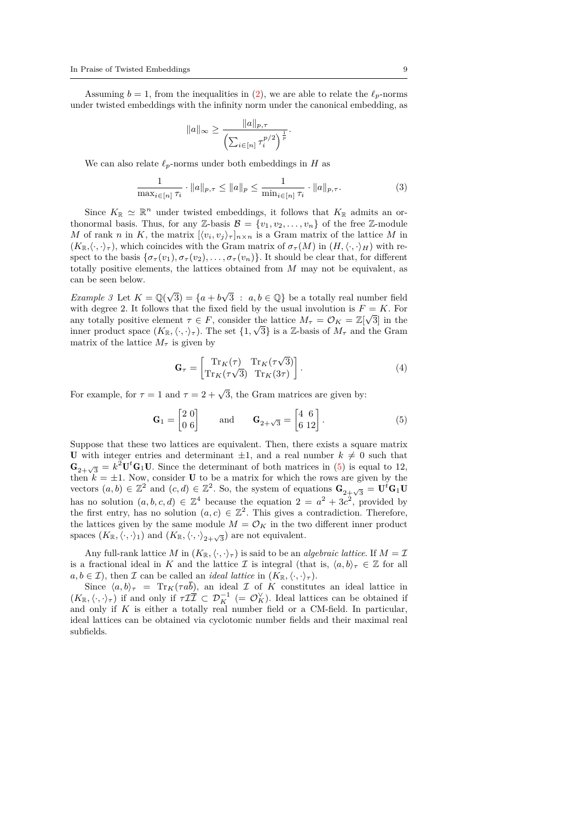Assuming  $b = 1$ , from the inequalities in ([2\)](#page-7-1), we are able to relate the  $\ell_p$ -norms under twisted embeddings with the infinity norm under the canonical embedding, as

$$
||a||_{\infty} \ge \frac{||a||_{p,\tau}}{\left(\sum_{i \in [n]} \tau_i^{p/2}\right)^{\frac{1}{p}}}.
$$

We can also relate  $\ell_p$ -norms under both embeddings in *H* as

<span id="page-8-1"></span>
$$
\frac{1}{\max_{i \in [n]}\tau_i} \cdot \|a\|_{p,\tau} \le \|a\|_p \le \frac{1}{\min_{i \in [n]}\tau_i} \cdot \|a\|_{p,\tau}.
$$
 (3)

Since  $K_{\mathbb{R}} \simeq {\mathbb{R}}^n$  under twisted embeddings, it follows that  $K_{\mathbb{R}}$  admits an orthonormal basis. Thus, for any Z-basis  $\mathcal{B} = \{v_1, v_2, \ldots, v_n\}$  of the free Z-module *M* of rank *n* in *K*, the matrix  $[\langle v_i, v_j \rangle_\tau]_{n \times n}$  is a Gram matrix of the lattice *M* in  $(K_{\mathbb{R}}, \langle \cdot, \cdot \rangle_{\tau})$ , which coincides with the Gram matrix of  $\sigma_{\tau}(M)$  in  $(H, \langle \cdot, \cdot \rangle_{H})$  with respect to the basis  $\{\sigma_\tau(v_1), \sigma_\tau(v_2), \ldots, \sigma_\tau(v_n)\}$ . It should be clear that, for different totally positive elements, the lattices obtained from *M* may not be equivalent, as can be seen below.

*Example 3* Let  $K = \mathbb{Q}(\sqrt{3}) = \{a + b\sqrt{3} : a, b \in \mathbb{Q}\}$  be a totally real number field with degree 2. It follows that the fixed field by the usual involution is  $F = K$ . For any totally positive element  $\tau \in F$ , consider the lattice  $M_{\tau} = \mathcal{O}_K = \mathbb{Z}[\sqrt{3}]$  in the inner product space  $(K_{\mathbb{R}}, \langle \cdot, \cdot \rangle_{\tau})$ . The set  $\{1, \sqrt{3}\}$  is a Z-basis of  $M_{\tau}$  and the Gram matrix of the lattice  $M_{\tau}$  is given by

$$
\mathbf{G}_{\tau} = \begin{bmatrix} \text{Tr}_{K}(\tau) & \text{Tr}_{K}(\tau\sqrt{3})\\ \text{Tr}_{K}(\tau\sqrt{3}) & \text{Tr}_{K}(3\tau) \end{bmatrix} . \tag{4}
$$

For example, for  $\tau = 1$  and  $\tau = 2 + \sqrt{3}$ , the Gram matrices are given by:

<span id="page-8-0"></span>
$$
\mathbf{G}_1 = \begin{bmatrix} 2 & 0 \\ 0 & 6 \end{bmatrix} \quad \text{and} \quad \mathbf{G}_{2+\sqrt{3}} = \begin{bmatrix} 4 & 6 \\ 6 & 12 \end{bmatrix} . \tag{5}
$$

Suppose that these two lattices are equivalent. Then, there exists a square matrix U with integer entries and determinant  $\pm 1$ , and a real number  $k \neq 0$  such that  $\mathbf{G}_{2+\sqrt{3}} = k^2 \mathbf{U}^t \mathbf{G}_1 \mathbf{U}$ . Since the determinant of both matrices in ([5](#page-8-0)) is equal to 12, then  $k = \pm 1$ . Now, consider **U** to be a matrix for which the rows are given by the vectors  $(a, b) \in \mathbb{Z}^2$  and  $(c, d) \in \mathbb{Z}^2$ . So, the system of equations  $\mathbf{G}_{2+\sqrt{3}} = \mathbf{U}^t \mathbf{G}_1 \mathbf{U}$ has no solution  $(a, b, c, d) \in \mathbb{Z}^4$  because the equation  $2 = a^2 + 3c^2$ , provided by the first entry, has no solution  $(a, c) \in \mathbb{Z}^2$ . This gives a contradiction. Therefore, the lattices given by the same module  $M = \mathcal{O}_K$  in the two different inner product spaces  $(K_{\mathbb{R}}, \langle \cdot, \cdot \rangle_1)$  and  $(K_{\mathbb{R}}, \langle \cdot, \cdot \rangle_2_{+\sqrt{3}})$  are not equivalent.

Any full-rank lattice *M* in  $(K_{\mathbb{R}}, \langle \cdot, \cdot \rangle_{\tau})$  is said to be an *algebraic lattice*. If  $M = \mathcal{I}$ is a fractional ideal in *K* and the lattice *I* is integral (that is,  $\langle a, b \rangle_{\tau} \in \mathbb{Z}$  for all  $a, b \in \mathcal{I}$ , then  $\mathcal{I}$  can be called an *ideal lattice* in  $(K_{\mathbb{R}}, \langle \cdot, \cdot \rangle_{\tau})$ .

Since  $\langle a, b \rangle_{\tau} = \text{Tr}_K(\tau a\overline{b})$ , an ideal *I* of *K* constitutes an ideal lattice in  $(K_{\mathbb{R}}, \langle \cdot, \cdot \rangle_{\tau})$  if and only if  $\tau \mathcal{I}(\overline{\mathcal{I}}) \subset \mathcal{D}_{K}^{-1} (= \mathcal{O}_{K}^{\vee})$ . Ideal lattices can be obtained if and only if *K* is either a totally real number field or a CM-field. In particular, ideal lattices can be obtained via cyclotomic number fields and their maximal real subfields.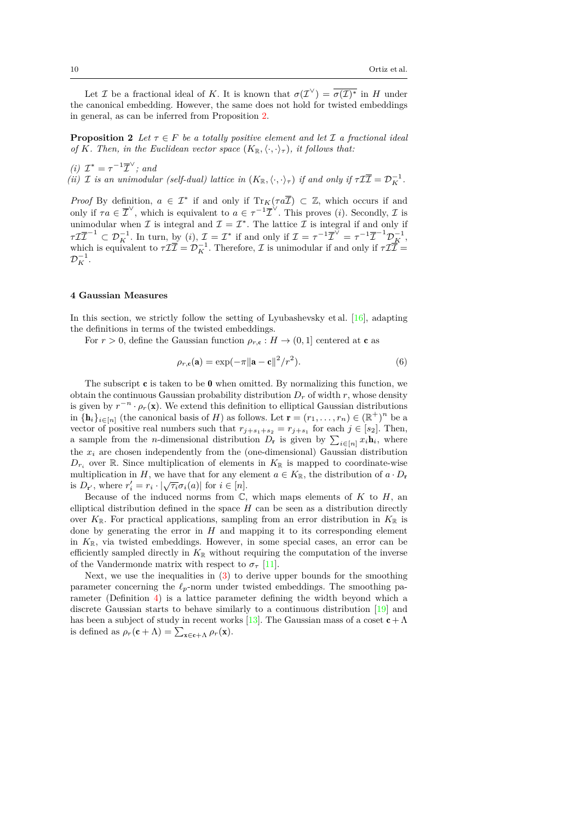Let *I* be a fractional ideal of *K*. It is known that  $\sigma(\mathcal{I}^{\vee}) = \sigma(\mathcal{I})^*$  in *H* under the canonical embedding. However, the same does not hold for twisted embeddings in general, as can be inferred from Proposition [2](#page-9-1).

<span id="page-9-1"></span>**Proposition 2** *Let*  $\tau \in F$  *be a totally positive element and let*  $\mathcal I$  *a fractional ideal of K. Then, in the Euclidean vector space*  $(K_{\mathbb{R}}, \langle \cdot, \cdot \rangle_{\tau})$ *, it follows that:* 

*(i)*  $\mathcal{I}^* = \tau^{-1} \overline{\mathcal{I}}^{\vee}$ ; and *(ii) I is an unimodular (self-dual) lattice in*  $(K_{\mathbb{R}}, \langle \cdot, \cdot \rangle_{\tau})$  *if and only if*  $\tau \mathcal{I} \overline{\mathcal{I}} = \mathcal{D}_{K}^{-1}$ .

*Proof* By definition,  $a \in \mathcal{I}^*$  if and only if  $Tr_K(\tau a\overline{\mathcal{I}}) \subset \mathbb{Z}$ , which occurs if and only if  $\tau a \in \overline{\mathcal{I}}^{\vee}$ , which is equivalent to  $a \in \tau^{-1} \overline{\mathcal{I}}^{\vee}$ . This proves (*i*). Secondly,  $\mathcal{I}$  is unimodular when  $\mathcal I$  is integral and  $\mathcal I = \mathcal I^*$ . The lattice  $\mathcal I$  is integral if and only if  $\tau \mathcal{I} \overline{\mathcal{I}}^{-1} \subset \mathcal{D}_K^{-1}$ . In turn, by (*i*),  $\mathcal{I} = \mathcal{I}^*$  if and only if  $\mathcal{I} = \tau^{-1} \overline{\mathcal{I}}^{\vee} = \tau^{-1} \overline{\mathcal{I}}^{-1} \mathcal{D}_K^{-1}$ , which is equivalent to  $\tau \mathcal{I} \overline{\mathcal{I}} = \mathcal{D}_K^{-1}$ . Therefore,  $\mathcal{I}$  is unimodular if and only if  $\tau \mathcal{I} \overline{\mathcal{I}} =$  $\mathcal{D}_K^{-1}.$ 

## <span id="page-9-0"></span>**4 Gaussian Measures**

In this section, we strictly follow the setting of Lyubashevsky et al. [[16](#page-21-0)], adapting the definitions in terms of the twisted embeddings.

For  $r > 0$ , define the Gaussian function  $\rho_{r,c}: H \to (0,1]$  centered at **c** as

<span id="page-9-3"></span>
$$
\rho_{r,\mathbf{c}}(\mathbf{a}) = \exp(-\pi \|\mathbf{a} - \mathbf{c}\|^2 / r^2). \tag{6}
$$

The subscript  $\mathbf c$  is taken to be 0 when omitted. By normalizing this function, we obtain the continuous Gaussian probability distribution  $D_r$  of width  $r$ , whose density is given by  $r^{-n} \cdot \rho_r(\mathbf{x})$ . We extend this definition to elliptical Gaussian distributions in  ${\{\mathbf{h}_i\}}_{i \in [n]}$  (the canonical basis of *H*) as follows. Let  $\mathbf{r} = (r_1, \ldots, r_n) \in (\mathbb{R}^+)^n$  be a vector of positive real numbers such that  $r_{j+s_1+s_2} = r_{j+s_1}$  for each  $j \in [s_2]$ . Then, a sample from the *n*-dimensional distribution  $D_r$  is given by  $\sum_{i \in [n]} x_i \mathbf{h}_i$ , where the *x<sup>i</sup>* are chosen independently from the (one-dimensional) Gaussian distribution  $D_{r_i}$  over R. Since multiplication of elements in  $K_{\mathbb{R}}$  is mapped to coordinate-wise multiplication in *H*, we have that for any element  $a \in K_{\mathbb{R}}$ , the distribution of  $a \cdot D_r$ is  $D_{\mathbf{r}'}$ , where  $r'_i = r_i \cdot |\sqrt{\tau_i} \sigma_i(a)|$  for  $i \in [n]$ .

Because of the induced norms from  $\mathbb{C}$ , which maps elements of  $K$  to  $H$ , an elliptical distribution defined in the space  $H$  can be seen as a distribution directly over  $K_{\mathbb{R}}$ . For practical applications, sampling from an error distribution in  $K_{\mathbb{R}}$  is done by generating the error in *H* and mapping it to its corresponding element in  $K_{\mathbb{R}}$ , via twisted embeddings. However, in some special cases, an error can be efficiently sampled directly in  $K_{\mathbb{R}}$  without requiring the computation of the inverse of the Vandermonde matrix with respect to  $\sigma$ <sup>*τ*</sup> [[11](#page-21-5)].

<span id="page-9-2"></span>Next, we use the inequalities in  $(3)$  $(3)$  to derive upper bounds for the smoothing parameter concerning the *ℓp*-norm under twisted embeddings. The smoothing parameter (Definition [4](#page-9-2)) is a lattice parameter defining the width beyond which a discrete Gaussian starts to behave similarly to a continuous distribution [\[19\]](#page-21-12) and has been a subject of study in recent works [[13](#page-21-13)]. The Gaussian mass of a coset  $c + \Lambda$ is defined as  $\rho_r(\mathbf{c} + \Lambda) = \sum_{\mathbf{x} \in \mathbf{c} + \Lambda} \rho_r(\mathbf{x}).$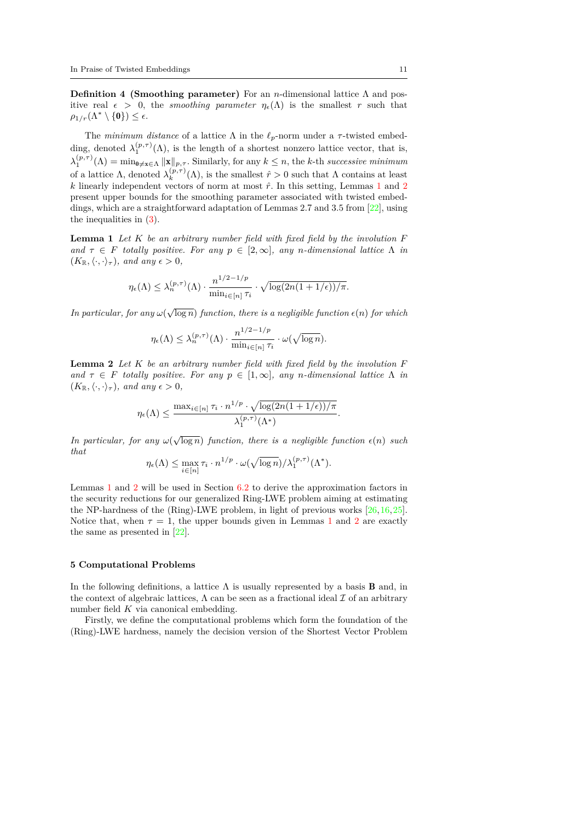**Definition 4 (Smoothing parameter)** For an *n*-dimensional lattice Λ and positive real  $\epsilon > 0$ , the *smoothing parameter*  $\eta_{\epsilon}(\Lambda)$  is the smallest *r* such that  $\rho_{1/r}(\Lambda^*\setminus\{\mathbf{0}\})\leq\epsilon.$ 

The *minimum distance* of a lattice  $\Lambda$  in the  $\ell_p$ -norm under a  $\tau$ -twisted embedding, denoted  $\lambda_1^{(p,\tau)}(\Lambda)$ , is the length of a shortest nonzero lattice vector, that is,  $\lambda_1^{(p,\tau)}(\Lambda) = \min_{0 \neq x \in \Lambda} ||x||_{p,\tau}$ . Similarly, for any  $k \leq n$ , the *k*-th *successive minimum* of a lattice  $\Lambda$ , denoted  $\lambda_k^{(p,\tau)}(\Lambda)$ , is the smallest  $\hat{r} > 0$  such that  $\Lambda$  contains at least  $k$  linearly independent vectors of norm at most  $\hat{r}$ . In this setting, Lemmas [1](#page-10-1) and [2](#page-10-2) present upper bounds for the smoothing parameter associated with twisted embeddings, which are a straightforward adaptation of Lemmas 2.7 and 3.5 from [[22](#page-22-7)], using the inequalities in ([3\)](#page-7-1).

<span id="page-10-1"></span>**Lemma 1** *Let K be an arbitrary number field with fixed field by the involution F and*  $\tau \in F$  *totally positive. For any*  $p \in [2, \infty]$ *, any n*-dimensional lattice  $\Lambda$  *in*  $(K_{\mathbb{R}}, \langle \cdot, \cdot \rangle_{\tau}),$  and any  $\epsilon > 0$ ,

$$
\eta_{\epsilon}(\Lambda) \leq \lambda_n^{(p,\tau)}(\Lambda) \cdot \frac{n^{1/2 - 1/p}}{\min_{i \in [n]} \tau_i} \cdot \sqrt{\log(2n(1 + 1/\epsilon))/\pi}.
$$

*In particular, for any*  $\omega(\sqrt{\log n})$  *function, there is a negligible function*  $\epsilon(n)$  *for which* 

$$
\eta_{\epsilon}(\Lambda) \leq \lambda_n^{(p,\tau)}(\Lambda) \cdot \frac{n^{1/2 - 1/p}}{\min_{i \in [n]} \tau_i} \cdot \omega(\sqrt{\log n}).
$$

<span id="page-10-2"></span>**Lemma 2** *Let K be an arbitrary number field with fixed field by the involution F and*  $\tau \in F$  *totally positive. For any*  $p \in [1, \infty]$ *, any n*-dimensional lattice  $\Lambda$  *in*  $(K_{\mathbb{R}}, \langle \cdot, \cdot \rangle_{\tau}),$  and any  $\epsilon > 0$ ,

$$
\eta_{\epsilon}(\Lambda) \le \frac{\max_{i \in [n]} \tau_i \cdot n^{1/p} \cdot \sqrt{\log(2n(1+1/\epsilon))/\pi}}{\lambda_1^{(p,\tau)}(\Lambda^*)}
$$

*.*

*In particular, for any*  $\omega(\sqrt{\log n})$  *function, there is a negligible function*  $\epsilon(n)$  *such that*

$$
\eta_{\epsilon}(\Lambda) \leq \max_{i \in [n]} \tau_i \cdot n^{1/p} \cdot \omega(\sqrt{\log n})/\lambda_1^{(p,\tau)}(\Lambda^*).
$$

Lemmas [1](#page-10-1) and [2](#page-10-2) will be used in Section [6.2](#page-14-0) to derive the approximation factors in the security reductions for our generalized Ring-LWE problem aiming at estimating the NP-hardness of the (Ring)-LWE problem, in light of previous works [[26](#page-22-1),[16](#page-21-0),[25](#page-22-6)]. Notice that, when  $\tau = 1$  $\tau = 1$ , the upper bounds given in Lemmas 1 and [2](#page-10-2) are exactly the same as presented in [[22](#page-22-7)].

#### <span id="page-10-0"></span>**5 Computational Problems**

In the following definitions, a lattice  $\Lambda$  is usually represented by a basis **B** and, in the context of algebraic lattices,  $\Lambda$  can be seen as a fractional ideal  $\mathcal I$  of an arbitrary number field *K* via canonical embedding.

Firstly, we define the computational problems which form the foundation of the (Ring)-LWE hardness, namely the decision version of the Shortest Vector Problem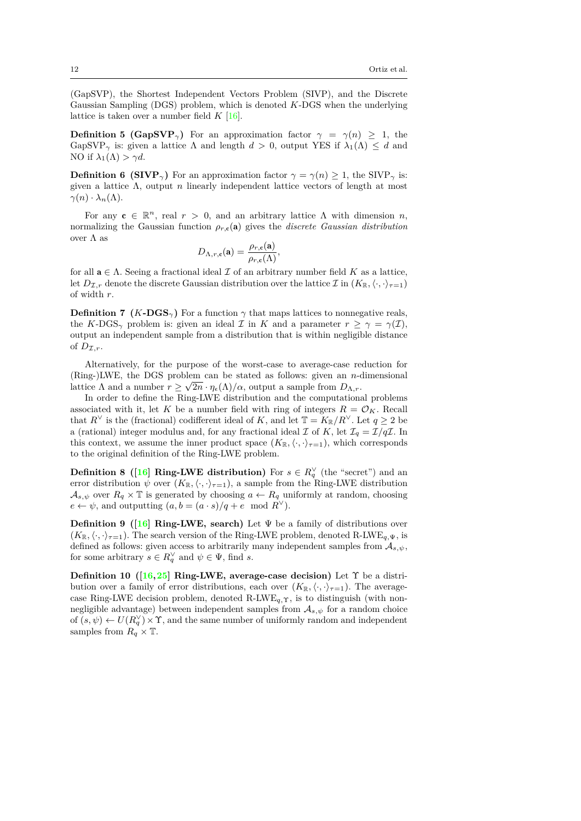(GapSVP), the Shortest Independent Vectors Problem (SIVP), and the Discrete Gaussian Sampling (DGS) problem, which is denoted *K*-DGS when the underlying lattice is taken over a number field  $K$  [\[16](#page-21-0)].

**Definition 5 (GapSVP**<sub> $\gamma$ </sub>) For an approximation factor  $\gamma = \gamma(n) \geq 1$ , the GapSVP<sub>γ</sub> is: given a lattice  $\Lambda$  and length  $d > 0$ , output YES if  $\lambda_1(\Lambda) \leq d$  and NO if  $\lambda_1(\Lambda) > \gamma d$ .

**Definition 6 (SIVP**<sub> $\gamma$ </sub>) For an approximation factor  $\gamma = \gamma(n) \geq 1$ , the SIVP<sub> $\gamma$ </sub> is: given a lattice Λ, output *n* linearly independent lattice vectors of length at most  $\gamma(n) \cdot \lambda_n(\Lambda)$ .

For any  $c \in \mathbb{R}^n$ , real  $r > 0$ , and an arbitrary lattice  $\Lambda$  with dimension *n*, normalizing the Gaussian function  $\rho_{r,c}(\mathbf{a})$  gives the *discrete Gaussian distribution* over  $\Lambda$  as

$$
D_{\Lambda,r,\mathbf{c}}(\mathbf{a}) = \frac{\rho_{r,\mathbf{c}}(\mathbf{a})}{\rho_{r,\mathbf{c}}(\Lambda)},
$$

for all  $a \in \Lambda$ . Seeing a fractional ideal  $\mathcal I$  of an arbitrary number field  $K$  as a lattice, let  $D_{\mathcal{I},r}$  denote the discrete Gaussian distribution over the lattice  $\mathcal{I}$  in  $(K_{\mathbb{R}}, \langle \cdot, \cdot \rangle_{\tau=1})$ of width *r*.

**Definition 7 (***K***-DGS**<sub> $\gamma$ </sub>) For a function  $\gamma$  that maps lattices to nonnegative reals, the *K*-DGS<sub> $\gamma$ </sub> problem is: given an ideal *I* in *K* and a parameter  $r \geq \gamma = \gamma(\mathcal{I})$ , output an independent sample from a distribution that is within negligible distance of  $D_{\mathcal{I},r}$ .

Alternatively, for the purpose of the worst-case to average-case reduction for (Ring-)LWE, the DGS problem can be stated as follows: given an *n*-dimensional *√* lattice  $\Lambda$  and a number  $r \geq \sqrt{2n} \cdot \eta_{\epsilon}(\Lambda)/\alpha$ , output a sample from  $D_{\Lambda,r}$ .

In order to define the Ring-LWE distribution and the computational problems associated with it, let *K* be a number field with ring of integers  $R = \mathcal{O}_K$ . Recall that  $R^{\vee}$  is the (fractional) codifferent ideal of *K*, and let  $\mathbb{T} = K_{\mathbb{R}}/R^{\vee}$ . Let  $q \ge 2$  be a (rational) integer modulus and, for any fractional ideal *I* of *K*, let  $\mathcal{I}_q = \mathcal{I}/q\mathcal{I}$ . In this context, we assume the inner product space  $(K_{\mathbb{R}}, \langle \cdot, \cdot \rangle_{\tau=1})$ , which corresponds to the original definition of the Ring-LWE problem.

**Definition 8** ([\[16](#page-21-0)] **Ring-LWE distribution**) For  $s \in R_q^{\vee}$  (the "secret") and an error distribution  $\psi$  over  $(K_{\mathbb{R}}, \langle \cdot, \cdot \rangle_{\tau=1})$ , a sample from the Ring-LWE distribution  $A_{s,\psi}$  over  $R_q \times \mathbb{T}$  is generated by choosing  $a \leftarrow R_q$  uniformly at random, choosing  $e \leftarrow \psi$ , and outputting  $(a, b = (a \cdot s)/q + e \mod R^{\vee}).$ 

**Definition 9 ([\[16](#page-21-0)] Ring-LWE, search)** Let Ψ be a family of distributions over  $(K_{\mathbb{R}}, \langle \cdot, \cdot \rangle_{\tau=1})$ . The search version of the Ring-LWE problem, denoted R-LWE<sub>q,Ψ</sub>, is defined as follows: given access to arbitrarily many independent samples from *As,ψ*, for some arbitrary  $s \in R_q^{\vee}$  and  $\psi \in \Psi$ , find *s*.

**Definition 10 ([[16,](#page-21-0)[25\]](#page-22-6) Ring-LWE, average-case decision)** Let Υ be a distribution over a family of error distributions, each over  $(K_{\mathbb{R}}, \langle \cdot, \cdot \rangle_{\tau=1})$ . The averagecase Ring-LWE decision problem, denoted R-LWE<sub>q,</sub> $\gamma$ , is to distinguish (with nonnegligible advantage) between independent samples from  $A_{s,\psi}$  for a random choice of  $(s, \psi) \leftarrow U(R_q^{\vee}) \times \Upsilon$ , and the same number of uniformly random and independent samples from  $R_q \times \mathbb{T}$ .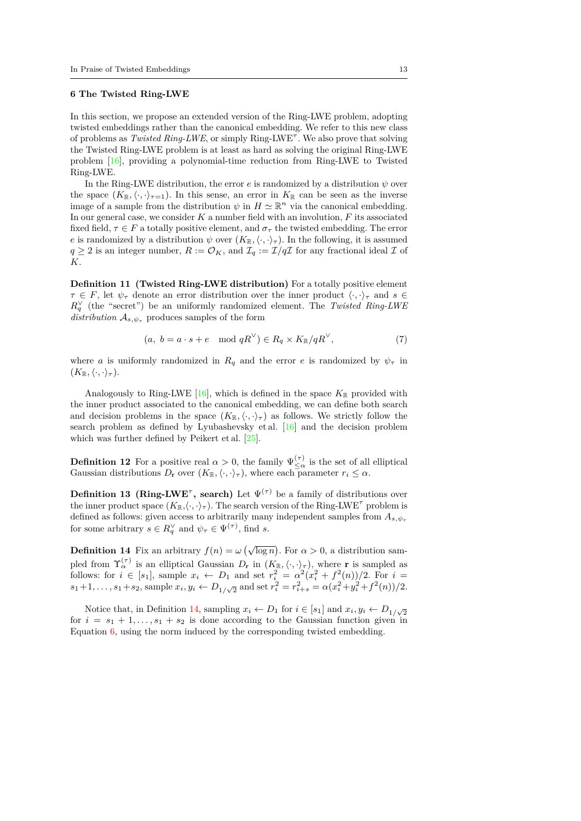# <span id="page-12-0"></span>**6 The Twisted Ring-LWE**

In this section, we propose an extended version of the Ring-LWE problem, adopting twisted embeddings rather than the canonical embedding. We refer to this new class of problems as *Twisted Ring-LWE*, or simply Ring-LWE*<sup>τ</sup>* . We also prove that solving the Twisted Ring-LWE problem is at least as hard as solving the original Ring-LWE problem [[16](#page-21-0)], providing a polynomial-time reduction from Ring-LWE to Twisted Ring-LWE.

In the Ring-LWE distribution, the error  $e$  is randomized by a distribution  $\psi$  over the space  $(K_{\mathbb{R}}, \langle \cdot, \cdot \rangle_{\tau=1})$ . In this sense, an error in  $K_{\mathbb{R}}$  can be seen as the inverse image of a sample from the distribution  $\psi$  in  $H \simeq \mathbb{R}^n$  via the canonical embedding. In our general case, we consider *K* a number field with an involution, *F* its associated fixed field,  $\tau \in F$  a totally positive element, and  $\sigma_{\tau}$  the twisted embedding. The error *e* is randomized by a distribution  $\psi$  over  $(K_{\mathbb{R}}, \langle \cdot, \cdot \rangle_{\tau})$ . In the following, it is assumed  $q \geq 2$  is an integer number,  $R := \mathcal{O}_K$ , and  $\mathcal{I}_q := \mathcal{I}/q\mathcal{I}$  for any fractional ideal  $\mathcal I$  of *K*.

**Definition 11 (Twisted Ring-LWE distribution)** For a totally positive element  $\tau \in F$ , let  $\psi_{\tau}$  denote an error distribution over the inner product  $\langle \cdot, \cdot \rangle_{\tau}$  and  $s \in$  $R_q^{\vee}$  (the "secret") be an uniformly randomized element. The *Twisted Ring-LWE distribution*  $A_{s,\psi_{\tau}}$  produces samples of the form

$$
(a, b = a \cdot s + e \mod qR^{\vee}) \in R_q \times K_{\mathbb{R}}/qR^{\vee}, \tag{7}
$$

where *a* is uniformly randomized in  $R_q$  and the error *e* is randomized by  $\psi_\tau$  in  $(K_{\mathbb{R}}, \langle \cdot, \cdot \rangle_{\tau}).$ 

Analogously to Ring-LWE [\[16\]](#page-21-0), which is defined in the space  $K_{\mathbb{R}}$  provided with the inner product associated to the canonical embedding, we can define both search and decision problems in the space  $(K_{\mathbb{R}}, \langle \cdot, \cdot \rangle_{\tau})$  as follows. We strictly follow the search problem as defined by Lyubashevsky et al. [\[16\]](#page-21-0) and the decision problem which was further defined by Peikert et al. [[25](#page-22-6)].

<span id="page-12-2"></span>**Definition 12** For a positive real  $\alpha > 0$ , the family  $\Psi_{\leq \alpha}^{(\tau)}$  is the set of all elliptical Gaussian distributions  $D_r$  over  $(K_{\mathbb{R}}, \langle \cdot, \cdot \rangle_{\tau})$ , where each parameter  $r_i \leq \alpha$ .

**Definition 13 (Ring-LWE<sup>** $\tau$ **</sup>, search)** Let  $\Psi^{(\tau)}$  be a family of distributions over the inner product space  $(K_{\mathbb{R}}, \langle \cdot, \cdot \rangle_{\tau})$ . The search version of the Ring-LWE<sup> $\tau$ </sup> problem is defined as follows: given access to arbitrarily many independent samples from *As,ψ<sup>τ</sup>* for some arbitrary  $s \in R_q^{\vee}$  and  $\psi_{\tau} \in \Psi^{(\tau)}$ , find *s*.

<span id="page-12-1"></span>**Definition 14** Fix an arbitrary  $f(n) = \omega \left(\sqrt{\log n}\right)$ . For  $\alpha > 0$ , a distribution sampled from  $\Upsilon_{\alpha}^{(\tau)}$  is an elliptical Gaussian  $D_{r}$  in  $(K_{\mathbb{R}}, \langle \cdot, \cdot \rangle_{\tau})$ , where r is sampled as follows: for  $i \in [s_1]$ , sample  $x_i \leftarrow D_1$  and set  $r_i^2 = \alpha^2(x_i^2 + f^2(n))/2$ . For  $i =$  $s_1+1,\ldots,s_1+s_2$ , sample  $x_i,y_i \leftarrow D_{1/\sqrt{2}}$  and set  $r_i^2 = r_{i+s}^2 = \alpha(x_i^2+y_i^2+f^2(n))/2$ .

Notice that, in Definition [14,](#page-12-1) sampling  $x_i \leftarrow D_1$  for  $i \in [s_1]$  and  $x_i, y_i \leftarrow D_{1/\sqrt{2}}$ for  $i = s_1 + 1, \ldots, s_1 + s_2$  is done according to the Gaussian function given in Equation [6,](#page-9-3) using the norm induced by the corresponding twisted embedding.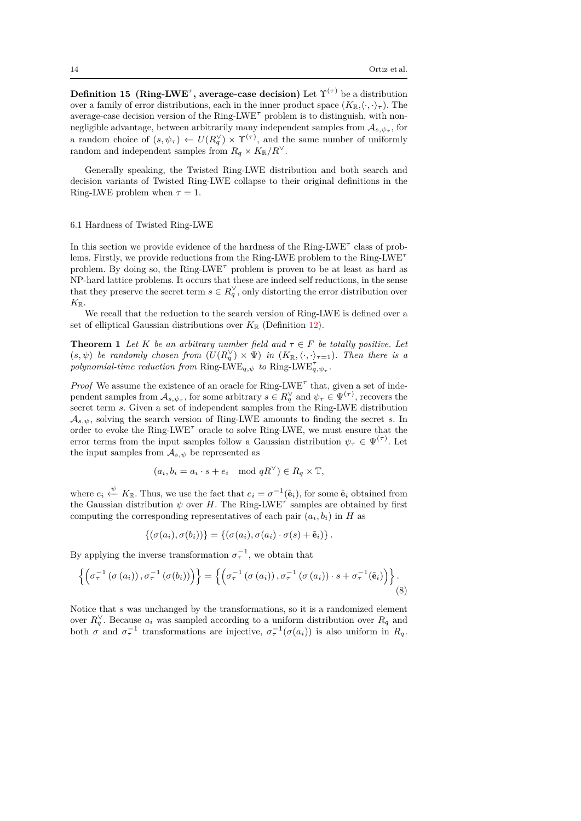**Definition 15** (Ring-LWE<sup> $\tau$ </sup>, average-case decision) Let  $\Upsilon^{(\tau)}$  be a distribution over a family of error distributions, each in the inner product space  $(K_{\mathbb{R}}, \langle \cdot, \cdot \rangle_{\tau})$ . The average-case decision version of the Ring-LWE*<sup>τ</sup>* problem is to distinguish, with nonnegligible advantage, between arbitrarily many independent samples from  $A_{s, \psi_{\tau}}$ , for a random choice of  $(s, \psi_{\tau}) \leftarrow U(R_q^{\vee}) \times \Upsilon^{(\tau)}$ , and the same number of uniformly random and independent samples from  $R_q \times K_{\mathbb{R}}/R^{\vee}$ .

Generally speaking, the Twisted Ring-LWE distribution and both search and decision variants of Twisted Ring-LWE collapse to their original definitions in the Ring-LWE problem when  $\tau = 1$ .

## 6.1 Hardness of Twisted Ring-LWE

In this section we provide evidence of the hardness of the Ring-LWE*<sup>τ</sup>* class of problems. Firstly, we provide reductions from the Ring-LWE problem to the Ring-LWE*<sup>τ</sup>* problem. By doing so, the Ring-LWE<sup>T</sup> problem is proven to be at least as hard as NP-hard lattice problems. It occurs that these are indeed self reductions, in the sense that they preserve the secret term  $s \in R_q^{\vee}$ , only distorting the error distribution over  $K_{\mathbb{R}}$ .

We recall that the reduction to the search version of Ring-LWE is defined over a set of elliptical Gaussian distributions over  $K_{\mathbb{R}}$  (Definition [12](#page-12-2)).

**Theorem 1** Let  $K$  be an arbitrary number field and  $\tau \in F$  be totally positive. Let  $(s, \psi)$  *be randomly chosen from*  $(U(R_q^{\vee}) \times \Psi)$  *in*  $(K_{\mathbb{R}}, \langle \cdot, \cdot \rangle_{\tau=1})$ *. Then there is a polynomial-time reduction from* Ring-LWE<sub>*q*, $\psi$ </sub> *to* Ring-LWE<sub>*q*, $\psi$ <sub>*τ*</sub></sub>.

*Proof* We assume the existence of an oracle for Ring-LWE<sup>τ</sup> that, given a set of independent samples from  $A_{s, \psi_{\tau}}$ , for some arbitrary  $s \in R_q^{\vee}$  and  $\psi_{\tau} \in \Psi^{(\tau)}$ , recovers the secret term *s*. Given a set of independent samples from the Ring-LWE distribution  $A_{s,\psi}$ , solving the search version of Ring-LWE amounts to finding the secret *s*. In order to evoke the Ring-LWE<sup> $\tau$ </sup> oracle to solve Ring-LWE, we must ensure that the error terms from the input samples follow a Gaussian distribution  $\psi_{\tau} \in \Psi^{(\tau)}$ . Let the input samples from  $A_{s,\psi}$  be represented as

$$
(a_i, b_i = a_i \cdot s + e_i \mod qR^{\vee}) \in R_q \times \mathbb{T},
$$

where  $e_i \stackrel{\psi}{\leftarrow} K_{\mathbb{R}}$ . Thus, we use the fact that  $e_i = \sigma^{-1}(\tilde{\mathbf{e}}_i)$ , for some  $\tilde{\mathbf{e}}_i$  obtained from the Gaussian distribution  $\psi$  over *H*. The Ring-LWE<sup> $\tau$ </sup> samples are obtained by first computing the corresponding representatives of each pair  $(a_i, b_i)$  in *H* as

<span id="page-13-0"></span>
$$
\{(\sigma(a_i),\sigma(b_i))\}=\{(\sigma(a_i),\sigma(a_i)\cdot\sigma(s)+\tilde{\mathbf{e}}_i)\}.
$$

By applying the inverse transformation  $\sigma_{\tau}^{-1}$ , we obtain that

$$
\left\{ \left( \sigma_{\tau}^{-1} \left( \sigma \left( a_i \right) \right), \sigma_{\tau}^{-1} \left( \sigma \left( b_i \right) \right) \right) \right\} = \left\{ \left( \sigma_{\tau}^{-1} \left( \sigma \left( a_i \right) \right), \sigma_{\tau}^{-1} \left( \sigma \left( a_i \right) \right) \cdot s + \sigma_{\tau}^{-1} \left( \tilde{\mathbf{e}}_i \right) \right) \right\}.
$$
\n(8)

Notice that *s* was unchanged by the transformations, so it is a randomized element over  $R_q^{\vee}$ . Because  $a_i$  was sampled according to a uniform distribution over  $R_q$  and both  $\sigma$  and  $\sigma_{\tau}^{-1}$  transformations are injective,  $\sigma_{\tau}^{-1}(\sigma(a_i))$  is also uniform in  $R_q$ .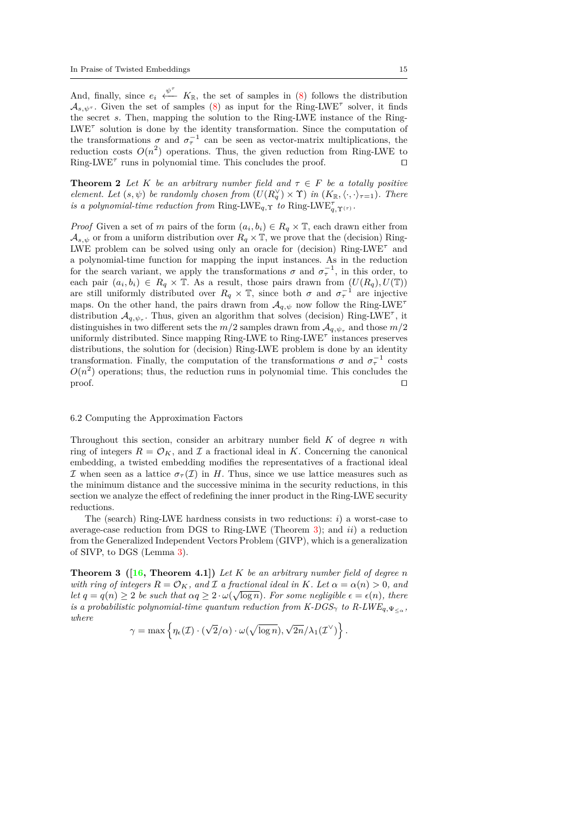And, finally, since  $e_i \stackrel{\psi^{\tau}}{\longleftarrow} K_{\mathbb{R}}$ , the set of samples in [\(8](#page-13-0)) follows the distribution  $\mathcal{A}_{s,\psi^{\tau}}$ . Given the set of samples [\(8\)](#page-13-0) as input for the Ring-LWE<sup> $\tau$ </sup> solver, it finds the secret *s*. Then, mapping the solution to the Ring-LWE instance of the Ring-LWE*<sup>τ</sup>* solution is done by the identity transformation. Since the computation of the transformations  $\sigma$  and  $\sigma_{\tau}^{-1}$  can be seen as vector-matrix multiplications, the reduction costs  $O(n^2)$  operations. Thus, the given reduction from Ring-LWE to Ring-LWE*<sup>τ</sup>* runs in polynomial time. This concludes the proof. *⊓⊔*

**Theorem 2** Let K be an arbitrary number field and  $\tau \in F$  be a totally positive *element. Let*  $(s, \psi)$  *be randomly chosen from*  $(U(R_q^{\vee}) \times \Upsilon)$  *in*  $(K_{\mathbb{R}}, \langle \cdot, \cdot \rangle_{\tau=1})$ *. There is a polynomial-time reduction from* Ring-LWE<sub>*q*</sub>,  $\gamma$  *to* Ring-LWE<sub>*q*</sub>,  $\gamma$ <sub>(*τ*)</sub> *.* 

*Proof* Given a set of *m* pairs of the form  $(a_i, b_i) \in R_q \times \mathbb{T}$ , each drawn either from  $A_{s,\psi}$  or from a uniform distribution over  $R_q \times \mathbb{T}$ , we prove that the (decision) Ring-LWE problem can be solved using only an oracle for (decision) Ring-LWE*<sup>τ</sup>* and a polynomial-time function for mapping the input instances. As in the reduction for the search variant, we apply the transformations  $\sigma$  and  $\sigma_{\tau}^{-1}$ , in this order, to each pair  $(a_i, b_i) \in R_q \times \mathbb{T}$ . As a result, those pairs drawn from  $(U(R_q), U(\mathbb{T}))$ are still uniformly distributed over  $R_q \times \mathbb{T}$ , since both  $\sigma$  and  $\sigma_\tau^{-1}$  are injective maps. On the other hand, the pairs drawn from  $A_{q,\psi}$  now follow the Ring-LWE<sup>7</sup> distribution  $\mathcal{A}_{q,\psi_{\tau}}$ . Thus, given an algorithm that solves (decision) Ring-LWE<sup> $\tau$ </sup>, it distinguishes in two different sets the  $m/2$  samples drawn from  $\mathcal{A}_{q, \psi_{\tau}}$  and those  $m/2$ uniformly distributed. Since mapping Ring-LWE to Ring-LWE*<sup>τ</sup>* instances preserves distributions, the solution for (decision) Ring-LWE problem is done by an identity transformation. Finally, the computation of the transformations  $\sigma$  and  $\sigma_{\tau}^{-1}$  costs  $O(n^2)$  operations; thus, the reduction runs in polynomial time. This concludes the proof. *⊓⊔*

## <span id="page-14-0"></span>6.2 Computing the Approximation Factors

Throughout this section, consider an arbitrary number field *K* of degree *n* with ring of integers  $R = \mathcal{O}_K$ , and  $\mathcal I$  a fractional ideal in K. Concerning the canonical embedding, a twisted embedding modifies the representatives of a fractional ideal *I* when seen as a lattice  $\sigma_{\tau}(\mathcal{I})$  in *H*. Thus, since we use lattice measures such as the minimum distance and the successive minima in the security reductions, in this section we analyze the effect of redefining the inner product in the Ring-LWE security reductions.

The (search) Ring-LWE hardness consists in two reductions: *i*) a worst-case to average-case reduction from DGS to Ring-LWE (Theorem [3](#page-14-1)); and *ii*) a reduction from the Generalized Independent Vectors Problem (GIVP), which is a generalization of SIVP, to DGS (Lemma [3\)](#page-14-2).

<span id="page-14-1"></span>**Theorem 3 ([[16,](#page-21-0) Theorem 4.1])** *Let K be an arbitrary number field of degree n with ring of integers*  $R = \mathcal{O}_K$ *, and*  $\mathcal I$  *a fractional ideal in*  $K$ *. Let*  $\alpha = \alpha(n) > 0$ *, and let*  $q = q(n) \geq 2$  *be such that*  $\alpha q \geq 2 \cdot \omega(\sqrt{\log n})$ *. For some negligible*  $\epsilon = \epsilon(n)$ *, there is a probabilistic polynomial-time quantum reduction from*  $K\text{-}DGS_\gamma$  *to*  $R\text{-}LWE_{q, \Psi_{\leq \alpha}}$ *, where √ √*

<span id="page-14-2"></span>
$$
\gamma = \max \left\{ \eta_{\epsilon}(\mathcal{I}) \cdot (\sqrt{2}/\alpha) \cdot \omega(\sqrt{\log n}), \sqrt{2n}/\lambda_1(\mathcal{I}^{\vee}) \right\}.
$$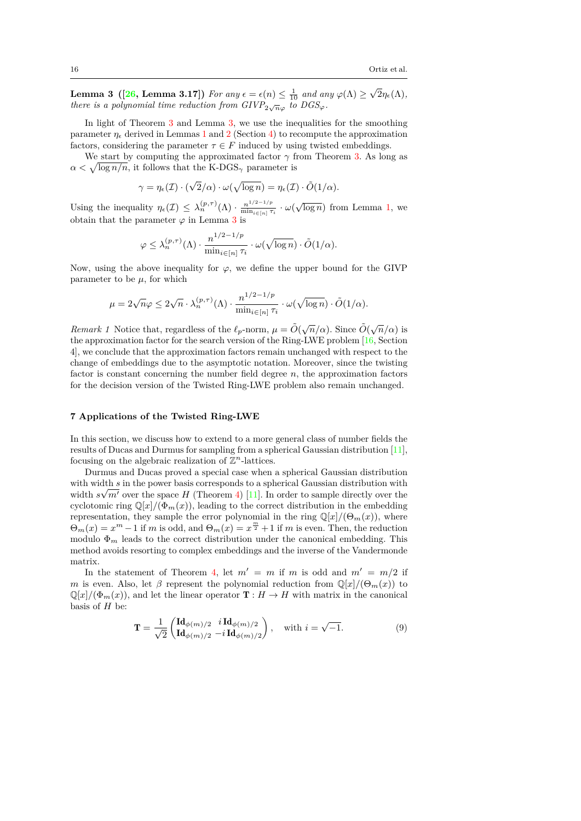**Lemma 3 (**[\[26](#page-22-1), Lemma 3.17]) For any  $\epsilon = \epsilon(n) \leq \frac{1}{10}$  and any  $\varphi(\Lambda) \geq \sqrt{2}\eta_{\epsilon}(\Lambda)$ , *there is a polynomial time reduction from*  $GIVP_{2\sqrt{n}\varphi}$  *to*  $DGS_{\varphi}$ *.* 

In light of Theorem [3](#page-14-2) and Lemma 3, we use the inequalities for the smoothing parameter  $\eta_{\epsilon}$  derived in Lemmas [1](#page-10-1) and [2](#page-10-2) (Section [4\)](#page-9-0) to recompute the approximation factors, considering the parameter  $\tau \in F$  induced by using twisted embeddings.

We start by computing the approximated factor  $\gamma$  from Theorem [3](#page-14-2). As long as  $\alpha < \sqrt{\log n/n}$ , it follows that the K-DGS<sub>γ</sub> parameter is

$$
\gamma = \eta_{\epsilon}(\mathcal{I}) \cdot (\sqrt{2}/\alpha) \cdot \omega(\sqrt{\log n}) = \eta_{\epsilon}(\mathcal{I}) \cdot \tilde{O}(1/\alpha).
$$

Using the inequality  $\eta_{\epsilon}(\mathcal{I}) \leq \lambda_n^{(p,\tau)}(\Lambda) \cdot \frac{n^{1/2-1/p}}{\min_{i \in [n], \mathcal{I}}}$  $\frac{n^{1/2-1/p}}{\min_{i\in[n]}\tau_i} \cdot \omega(\sqrt{\log n})$  $\frac{n^{1/2-1/p}}{\min_{i\in[n]}\tau_i} \cdot \omega(\sqrt{\log n})$  $\frac{n^{1/2-1/p}}{\min_{i\in[n]}\tau_i} \cdot \omega(\sqrt{\log n})$  from Lemma 1, we obtain that the parameter  $\varphi$  in Lemma [3](#page-14-2) is

$$
\varphi \leq \lambda_n^{(p,\tau)}(\Lambda) \cdot \frac{n^{1/2 - 1/p}}{\min_{i \in [n]} \tau_i} \cdot \omega(\sqrt{\log n}) \cdot \tilde{O}(1/\alpha).
$$

Now, using the above inequality for  $\varphi$ , we define the upper bound for the GIVP parameter to be  $\mu$ , for which

$$
\mu = 2\sqrt{n}\varphi \le 2\sqrt{n} \cdot \lambda_n^{(p,\tau)}(\Lambda) \cdot \frac{n^{1/2-1/p}}{\min_{i \in [n]} \tau_i} \cdot \omega(\sqrt{\log n}) \cdot \tilde{O}(1/\alpha).
$$

*Remark 1* Notice that, regardless of the  $\ell_p$ -norm,  $\mu = \tilde{O}(\sqrt{n}/\alpha)$ . Since  $\tilde{O}(\sqrt{n}/\alpha)$  is the approximation factor for the search version of the Ring-LWE problem [\[16,](#page-21-0) Section 4], we conclude that the approximation factors remain unchanged with respect to the change of embeddings due to the asymptotic notation. Moreover, since the twisting factor is constant concerning the number field degree *n*, the approximation factors for the decision version of the Twisted Ring-LWE problem also remain unchanged.

# <span id="page-15-0"></span>**7 Applications of the Twisted Ring-LWE**

In this section, we discuss how to extend to a more general class of number fields the results of Ducas and Durmus for sampling from a spherical Gaussian distribution [[11](#page-21-5)], focusing on the algebraic realization of  $\mathbb{Z}^n$ -lattices.

Durmus and Ducas proved a special case when a spherical Gaussian distribution with width *s* in the power basis corresponds to a spherical Gaussian distribution with width  $s\sqrt{m'}$  over the space *H* (Theorem [4\)](#page-15-1) [[11](#page-21-5)]. In order to sample directly over the cyclotomic ring  $\mathbb{Q}[x]/(\Phi_m(x))$ , leading to the correct distribution in the embedding representation, they sample the error polynomial in the ring  $\mathbb{Q}[x]/(\Theta_m(x))$ , where  $\Theta_m(x) = x^m - 1$  if *m* is odd, and  $\Theta_m(x) = x^{\frac{m}{2}} + 1$  if *m* is even. Then, the reduction modulo  $\Phi_m$  leads to the correct distribution under the canonical embedding. This method avoids resorting to complex embeddings and the inverse of the Vandermonde matrix.

In the statement of Theorem [4](#page-15-1), let  $m' = m$  if *m* is odd and  $m' = m/2$  if *m* is even. Also, let  $\beta$  represent the polynomial reduction from  $\mathbb{Q}[x]/(\Theta_m(x))$  to  $\mathbb{Q}[x]/(\Phi_m(x))$ , and let the linear operator  $\mathbf{T}: H \to H$  with matrix in the canonical basis of *H* be:

<span id="page-15-2"></span><span id="page-15-1"></span>
$$
\mathbf{T} = \frac{1}{\sqrt{2}} \begin{pmatrix} \mathbf{Id}_{\phi(m)/2} & i \, \mathbf{Id}_{\phi(m)/2} \\ \mathbf{Id}_{\phi(m)/2} & -i \, \mathbf{Id}_{\phi(m)/2} \end{pmatrix}, \quad \text{with } i = \sqrt{-1}.\tag{9}
$$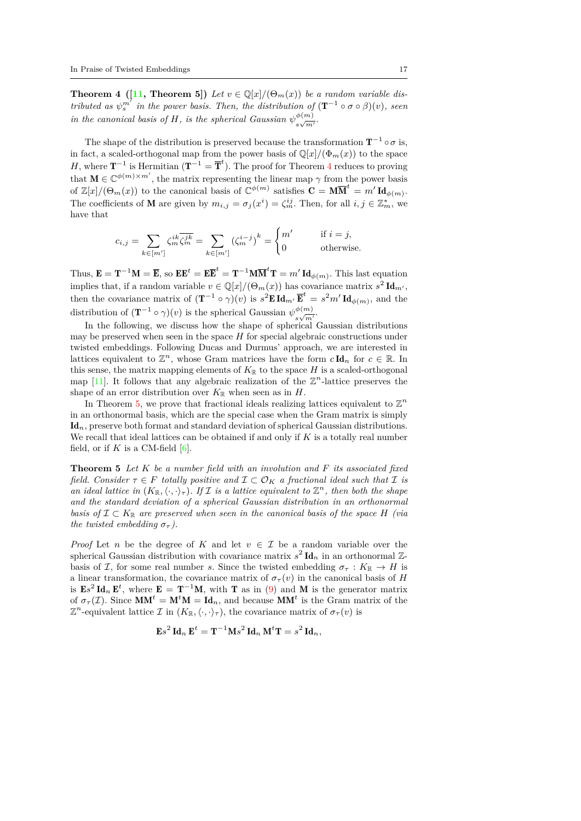**Theorem 4** ([[11,](#page-21-5) **Theorem 5**]) Let  $v \in \mathbb{Q}[x]/(\Theta_m(x))$  be a random variable dis*tributed as*  $\psi_s^{m'}$  *in the power basis. Then, the distribution of*  $(T^{-1} \circ \sigma \circ \beta)(v)$ *, seen in the canonical basis of H, is the spherical Gaussian*  $\psi^{(m)}$  $\frac{\varphi(m)}{s\sqrt{m'}}$ 

The shape of the distribution is preserved because the transformation  $T^{-1} \circ \sigma$  is, in fact, a scaled-orthogonal map from the power basis of  $\mathbb{Q}[x]/(\Phi_m(x))$  to the space *H*, where  $\mathbf{T}^{-1}$  is Hermitian ( $\mathbf{T}^{-1} = \overline{\mathbf{T}}^{t}$ ). The proof for Theorem [4](#page-15-1) reduces to proving that  $\mathbf{M} \in \mathbb{C}^{\phi(m) \times m'}$ , the matrix representing the linear map  $\gamma$  from the power basis of  $\mathbb{Z}[x]/(\Theta_m(x))$  to the canonical basis of  $\mathbb{C}^{\phi(m)}$  satisfies  $\mathbf{C} = \mathbf{M} \overline{\mathbf{M}}^t = m' \mathbf{Id}_{\phi(m)}$ . The coefficients of **M** are given by  $m_{i,j} = \sigma_j(x^i) = \zeta_m^{ij}$ . Then, for all  $i, j \in \mathbb{Z}_m^*$ , we have that

$$
c_{i,j} = \sum_{k \in [m']} \zeta_m^{ik} \overline{\zeta_m^{jk}} = \sum_{k \in [m']} \left(\zeta_m^{i-j}\right)^k = \begin{cases} m' & \text{if } i = j, \\ 0 & \text{otherwise.} \end{cases}
$$

Thus,  $\mathbf{E} = \mathbf{T}^{-1}\mathbf{M} = \overline{\mathbf{E}}$ , so  $\mathbf{E}\mathbf{E}^t = \mathbf{E}\overline{\mathbf{E}}^t = \mathbf{T}^{-1}\mathbf{M}\overline{\mathbf{M}}^t\mathbf{T} = m'\mathbf{Id}_{\phi(m)}$ . This last equation implies that, if a random variable  $v \in \mathbb{Q}[x]/(\Theta_m(x))$  has covariance matrix  $s^2 \mathbf{Id}_{m'}$ , then the covariance matrix of  $(\mathbf{T}^{-1} \circ \gamma)(v)$  is  $s^2 \mathbf{E} \mathbf{Id}_{m'} \overline{\mathbf{E}}^t = s^2 m' \mathbf{Id}_{\phi(m)}$ , and the distribution of  $(\mathbf{T}^{-1} \circ \gamma)(v)$  is the spherical Gaussian  $\psi_{\gamma}^{(m)}$  $\frac{\varphi(m)}{s\sqrt{m'}}$ 

In the following, we discuss how the shape of spherical Gaussian distributions may be preserved when seen in the space *H* for special algebraic constructions under twisted embeddings. Following Ducas and Durmus' approach, we are interested in lattices equivalent to  $\mathbb{Z}^n$ , whose Gram matrices have the form  $c \mathbf{Id}_n$  for  $c \in \mathbb{R}$ . In this sense, the matrix mapping elements of  $K_{\mathbb{R}}$  to the space *H* is a scaled-orthogonal map  $[11]$  $[11]$  $[11]$ . It follows that any algebraic realization of the  $\mathbb{Z}^n$ -lattice preserves the shape of an error distribution over  $K_{\mathbb{R}}$  when seen as in  $H$ .

In Theorem [5,](#page-16-0) we prove that fractional ideals realizing lattices equivalent to  $\mathbb{Z}^n$ in an orthonormal basis, which are the special case when the Gram matrix is simply Id*n*, preserve both format and standard deviation of spherical Gaussian distributions. We recall that ideal lattices can be obtained if and only if *K* is a totally real number field, or if  $K$  is a CM-field  $[6]$  $[6]$  $[6]$ .

<span id="page-16-0"></span>**Theorem 5** *Let K be a number field with an involution and F its associated fixed field. Consider*  $\tau \in F$  *totally positive and*  $\mathcal{I} \subset \mathcal{O}_K$  *a fractional ideal such that*  $\mathcal{I}$  *is an ideal lattice in*  $(K_{\mathbb{R}}, \langle \cdot, \cdot \rangle_{\tau})$ *. If I is a lattice equivalent to*  $\mathbb{Z}^n$ *, then both the shape and the standard deviation of a spherical Gaussian distribution in an orthonormal basis of*  $\mathcal{I} \subset K_{\mathbb{R}}$  *are preserved when seen in the canonical basis of the space H (via the twisted embedding*  $\sigma_{\tau}$ *).* 

*Proof* Let *n* be the degree of *K* and let  $v \in \mathcal{I}$  be a random variable over the spherical Gaussian distribution with covariance matrix  $s^2 \text{ Id}_n$  in an orthonormal  $\mathbb{Z}$ basis of *I*, for some real number *s*. Since the twisted embedding  $\sigma_{\tau}: K_{\mathbb{R}} \to H$  is a linear transformation, the covariance matrix of  $\sigma_{\tau}(v)$  in the canonical basis of *H* is  $\mathbf{E}s^2 \mathbf{Id}_n \mathbf{E}^t$ , where  $\mathbf{E} = \mathbf{T}^{-1} \mathbf{M}$ , with **T** as in [\(9](#page-15-2)) and **M** is the generator matrix of  $\sigma_{\tau}(\mathcal{I})$ . Since  $MM^t = M^tM = Id_n$ , and because  $MM^t$  is the Gram matrix of the  $\mathbb{Z}^n$ -equivalent lattice *I* in  $(K_{\mathbb{R}}, \langle \cdot, \cdot \rangle_{\tau})$ , the covariance matrix of  $\sigma_{\tau}(v)$  is

$$
\mathbf{E}s^2 \mathbf{Id}_n \mathbf{E}^t = \mathbf{T}^{-1} \mathbf{M}s^2 \mathbf{Id}_n \mathbf{M}^t \mathbf{T} = s^2 \mathbf{Id}_n,
$$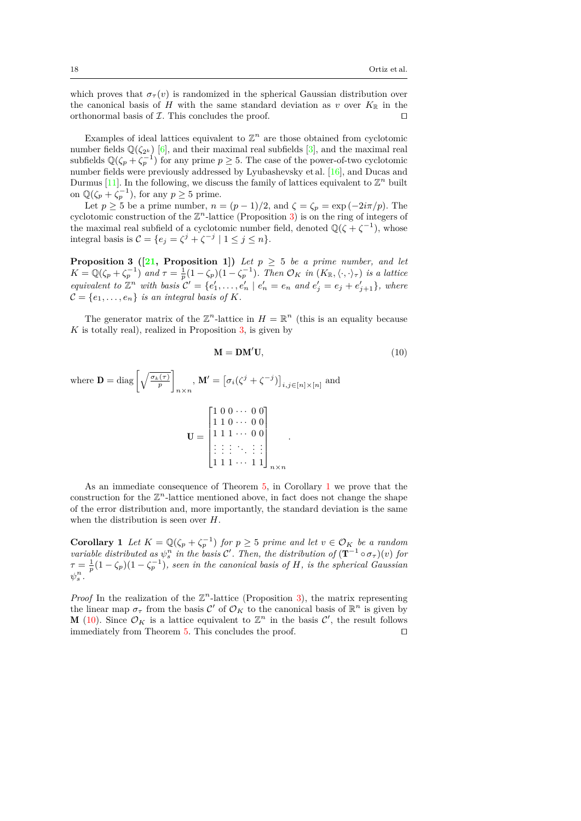which proves that  $\sigma_{\tau}(v)$  is randomized in the spherical Gaussian distribution over the canonical basis of *H* with the same standard deviation as *v* over  $K_{\mathbb{R}}$  in the orthonormal basis of *I*. This concludes the proof. *⊓⊔*

Examples of ideal lattices equivalent to  $\mathbb{Z}^n$  are those obtained from cyclotomic number fields  $\mathbb{Q}(\zeta_{2^k})$  [\[6\]](#page-21-11), and their maximal real subfields [\[3\]](#page-21-14), and the maximal real subfields  $\mathbb{Q}(\zeta_p + \zeta_p^{-1})$  for any prime  $p \geq 5$ . The case of the power-of-two cyclotomic number fields were previously addressed by Lyubashevsky et al. [[16](#page-21-0)], and Ducas and Durmus [\[11\]](#page-21-5). In the following, we discuss the family of lattices equivalent to  $\mathbb{Z}^n$  built on  $\mathbb{Q}(\zeta_p + \zeta_p^{-1})$ , for any  $p \geq 5$  prime.

Let  $p \geq 5$  be a prime number,  $n = (p-1)/2$ , and  $\zeta = \zeta_p = \exp(-2i\pi/p)$ . The cyclotomic construction of the  $\mathbb{Z}^n$ -lattice (Proposition [3\)](#page-17-0) is on the ring of integers of the maximal real subfield of a cyclotomic number field, denoted  $\mathbb{Q}(\zeta + \zeta^{-1})$ , whose integral basis is  $C = \{e_j = \zeta^j + \zeta^{-j} \mid 1 \leq j \leq n\}.$ 

<span id="page-17-0"></span>**Proposition 3** ([[21](#page-21-15), Proposition 1]) Let  $p \geq 5$  be a prime number, and let  $K = \mathbb{Q}(\zeta_p + \zeta_p^{-1})$  and  $\tau = \frac{1}{p}(1 - \zeta_p)(1 - \zeta_p^{-1})$ . Then  $\mathcal{O}_K$  in  $(K_{\mathbb{R}}, \langle \cdot, \cdot \rangle_{\tau})$  is a lattice equivalent to  $\mathbb{Z}^n$  with basis  $\mathcal{C}' = \{e'_1, \ldots, e'_n \mid e'_n = e_n \text{ and } e'_j = e_j + e'_{j+1}\}, \text{ where }$  $\mathcal{C} = \{e_1, \ldots, e_n\}$  *is an integral basis of*  $K$ *.* 

The generator matrix of the  $\mathbb{Z}^n$ -lattice in  $H = \mathbb{R}^n$  (this is an equality because *K* is totally real), realized in Proposition [3](#page-17-0), is given by

<span id="page-17-2"></span>
$$
\mathbf{M} = \mathbf{D}\mathbf{M}'\mathbf{U},\tag{10}
$$

where 
$$
\mathbf{D} = \text{diag}\left[\sqrt{\frac{\sigma_k(\tau)}{p}}\right]_{n \times n}
$$
,  $\mathbf{M}' = \left[\sigma_i(\zeta^j + \zeta^{-j})\right]_{i,j \in [n] \times [n]}$  and  

$$
\mathbf{U} = \begin{bmatrix} 1 & 0 & 0 & \cdots & 0 & 0 \\ 1 & 1 & 0 & \cdots & 0 & 0 \\ 1 & 1 & 1 & \cdots & 0 & 0 \\ \vdots & \vdots & \vdots & \ddots & \vdots & \vdots \\ 1 & 1 & 1 & \cdots & 1 & 1 \end{bmatrix}_{n \times n}
$$

As an immediate consequence of Theorem [5](#page-16-0), in Corollary [1](#page-17-1) we prove that the construction for the  $\mathbb{Z}^n$ -lattice mentioned above, in fact does not change the shape of the error distribution and, more importantly, the standard deviation is the same when the distribution is seen over *H*.

<span id="page-17-1"></span>**Corollary 1** *Let*  $K = \mathbb{Q}(\zeta_p + \zeta_p^{-1})$  *for*  $p \geq 5$  *prime and let*  $v \in \mathcal{O}_K$  *be a random variable distributed as*  $\psi_s^n$  *in the basis*  $\mathcal{C}'$ . Then, the distribution of  $(\mathbf{T}^{-1} \circ \sigma_\tau)(v)$  for  $\tau = \frac{1}{p}(1 - \zeta_p)(1 - \zeta_p^{-1})$ , seen in the canonical basis of *H*, is the spherical Gaussian  $\psi_s^n$ .

*Proof* In the realization of the  $\mathbb{Z}^n$ -lattice (Proposition [3\)](#page-17-0), the matrix representing the linear map  $\sigma_{\tau}$  from the basis  $\mathcal{C}'$  of  $\mathcal{O}_K$  to the canonical basis of  $\mathbb{R}^n$  is given by **M** ([10](#page-17-2)). Since  $\mathcal{O}_K$  is a lattice equivalent to  $\mathbb{Z}^n$  in the basis  $\mathcal{C}'$ , the result follows immediately from Theorem [5.](#page-16-0) This concludes the proof. *⊓⊔*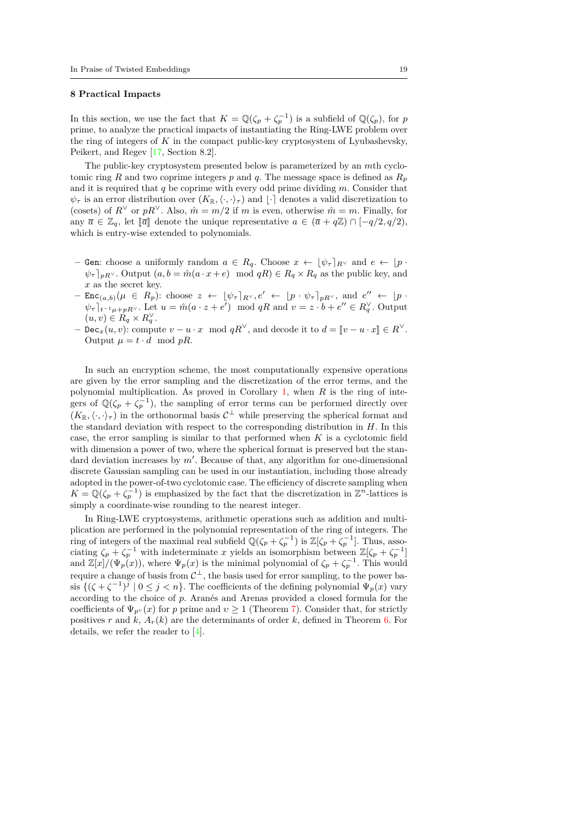#### <span id="page-18-0"></span>**8 Practical Impacts**

In this section, we use the fact that  $K = \mathbb{Q}(\zeta_p + \zeta_p^{-1})$  is a subfield of  $\mathbb{Q}(\zeta_p)$ , for *p* prime, to analyze the practical impacts of instantiating the Ring-LWE problem over the ring of integers of *K* in the compact public-key cryptosystem of Lyubashevsky, Peikert, and Regev [\[17,](#page-21-6) Section 8.2].

The public-key cryptosystem presented below is parameterized by an *m*th cyclotomic ring *R* and two coprime integers *p* and *q*. The message space is defined as  $R_p$ and it is required that *q* be coprime with every odd prime dividing *m*. Consider that  $\psi_{\tau}$  is an error distribution over  $(K_{\mathbb{R}}, \langle \cdot, \cdot \rangle_{\tau})$  and  $|\cdot|$  denotes a valid discretization to (cosets) of  $R^{\vee}$  or  $pR^{\vee}$ . Also,  $\hat{m} = m/2$  if *m* is even, otherwise  $\hat{m} = m$ . Finally, for any  $\bar{a} \in \mathbb{Z}_q$ , let  $\lbrack \bar{a} \rbrack$  denote the unique representative  $a \in (\bar{a} + q\mathbb{Z}) \cap [-q/2, q/2)$ , which is entry-wise extended to polynomials.

- **–** Gen: choose a uniformly random  $a \in R_q$ . Choose  $x \leftarrow \lfloor \psi_{\tau} \rceil_{R^{\vee}}$  and  $e \leftarrow \lfloor p \cdot \rceil_{R^{\vee}}$  $\psi_{\tau}|_{pR}$ <sup>*v*</sup>. Output  $(a, b = \hat{m}(a \cdot x + e) \mod qR) \in R_q \times R_q$  as the public key, and *x* as the secret key.
- $-$  Enc<sub>(a,b)</sub>( $\mu \in R_p$ ): choose  $z \leftarrow [\psi_\tau]_{R^\vee}, e' \leftarrow [p \cdot \psi_\tau]_{pR^\vee}$ , and  $e'' \leftarrow [p \cdot$  $\psi_{\tau}|_{t^{-1}\mu+pR^{\vee}}$ . Let  $u = \hat{m}(a \cdot z + e') \mod qR$  and  $v = z \cdot b + e'' \in R_q^{\vee}$ . Output  $(u, v) \in R_q \times R_q^{\vee}$ .
- $\mathcal{L} = \text{Dec}_{x}(u, v)$ : compute  $v u \cdot x \mod qR^{\vee}$ , and decode it to  $d = [v u \cdot x] \in R^{\vee}$ . Output  $\mu = t \cdot d \mod pR$ .

In such an encryption scheme, the most computationally expensive operations are given by the error sampling and the discretization of the error terms, and the polynomial multiplication. As proved in Corollary [1,](#page-17-1) when *R* is the ring of integers of  $\mathbb{Q}(\zeta_p + \zeta_p^{-1})$ , the sampling of error terms can be performed directly over  $(K_{\mathbb{R}}, \langle \cdot, \cdot \rangle_{\tau})$  in the orthonormal basis  $C^{\perp}$  while preserving the spherical format and the standard deviation with respect to the corresponding distribution in *H*. In this case, the error sampling is similar to that performed when *K* is a cyclotomic field with dimension a power of two, where the spherical format is preserved but the standard deviation increases by *m′* . Because of that, any algorithm for one-dimensional discrete Gaussian sampling can be used in our instantiation, including those already adopted in the power-of-two cyclotomic case. The efficiency of discrete sampling when  $K = \mathbb{Q}(\zeta_p + \zeta_p^{-1})$  is emphasized by the fact that the discretization in  $\mathbb{Z}^n$ -lattices is simply a coordinate-wise rounding to the nearest integer.

<span id="page-18-1"></span>In Ring-LWE cryptosystems, arithmetic operations such as addition and multiplication are performed in the polynomial representation of the ring of integers. The ring of integers of the maximal real subfield  $\mathbb{Q}(\zeta_p + \zeta_p^{-1})$  is  $\mathbb{Z}[\zeta_p + \zeta_p^{-1}]$ . Thus, associating  $\zeta_p + \zeta_p^{-1}$  with indeterminate *x* yields an isomorphism between  $\mathbb{Z}[\zeta_p + \zeta_p^{-1}]$ and  $\mathbb{Z}[x]/(\Psi_p(x))$ , where  $\Psi_p(x)$  is the minimal polynomial of  $\zeta_p + \zeta_p^{-1}$ . This would require a change of basis from  $\mathcal{C}^{\perp}$ , the basis used for error sampling, to the power basis  $\{(\zeta + \zeta^{-1})^j \mid 0 \leq j < n\}$ . The coefficients of the defining polynomial  $\Psi_p(x)$  vary according to the choice of *p*. Aranés and Arenas provided a closed formula for the coefficients of  $\Psi_{p^{\nu}}(x)$  for *p* prime and  $v \ge 1$  (Theorem [7](#page-19-0)). Consider that, for strictly positives *r* and *k*,  $A_r(k)$  are the determinants of order *k*, defined in Theorem [6](#page-18-1). For details, we refer the reader to [[4\]](#page-21-16).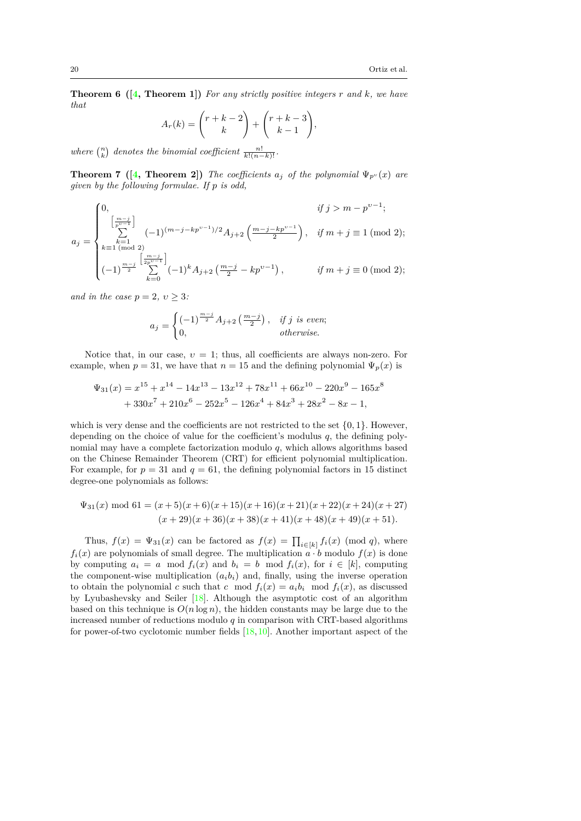**Theorem 6 ([[4](#page-21-16), Theorem 1])** *For any strictly positive integers r and k, we have that*

$$
A_r(k) = \binom{r+k-2}{k} + \binom{r+k-3}{k-1},
$$

*where*  $\binom{n}{k}$  *denotes the binomial coefficient*  $\frac{n!}{k!(n-k)!}$ *.* 

<span id="page-19-0"></span>**Theorem 7** ([[4](#page-21-16), Theorem 2]) *The coefficients*  $a_j$  *of the polynomial*  $\Psi_{p^{\nu}}(x)$  *are given by the following formulae. If p is odd,*

$$
a_j = \begin{cases} 0, & \text{if } j > m - p^{v-1}; \\ \sum_{k=1}^{\lfloor \frac{m-j}{p^{v-1}} \rfloor} (-1)^{(m-j-kp^{v-1})/2} A_{j+2} \left( \frac{m-j-kp^{v-1}}{2} \right), & \text{if } m+j \equiv 1 \pmod{2}; \\ k \equiv 1 \pmod{2} \\ (-1)^{\frac{m-j}{2}} \sum_{k=0}^{\lfloor \frac{m-j}{2p^{v-1}} \rfloor} (-1)^k A_{j+2} \left( \frac{m-j}{2} - kp^{v-1} \right), & \text{if } m+j \equiv 0 \pmod{2}; \end{cases}
$$

*and in the case*  $p = 2, v \geq 3$ *:* 

$$
a_j = \begin{cases} (-1)^{\frac{m-j}{2}} A_{j+2} \left( \frac{m-j}{2} \right), & \text{if } j \text{ is even;} \\ 0, & \text{otherwise.} \end{cases}
$$

Notice that, in our case,  $v = 1$ ; thus, all coefficients are always non-zero. For example, when  $p = 31$ , we have that  $n = 15$  and the defining polynomial  $\Psi_p(x)$  is

$$
\Psi_{31}(x) = x^{15} + x^{14} - 14x^{13} - 13x^{12} + 78x^{11} + 66x^{10} - 220x^9 - 165x^8
$$
  
+ 330x<sup>7</sup> + 210x<sup>6</sup> - 252x<sup>5</sup> - 126x<sup>4</sup> + 84x<sup>3</sup> + 28x<sup>2</sup> - 8x - 1,

which is very dense and the coefficients are not restricted to the set *{*0*,* 1*}*. However, depending on the choice of value for the coefficient's modulus *q*, the defining polynomial may have a complete factorization modulo *q*, which allows algorithms based on the Chinese Remainder Theorem (CRT) for efficient polynomial multiplication. For example, for  $p = 31$  and  $q = 61$ , the defining polynomial factors in 15 distinct degree-one polynomials as follows:

$$
\Psi_{31}(x) \text{ mod } 61 = (x+5)(x+6)(x+15)(x+16)(x+21)(x+22)(x+24)(x+27)
$$

$$
(x+29)(x+36)(x+38)(x+41)(x+48)(x+49)(x+51).
$$

Thus,  $f(x) = \Psi_{31}(x)$  can be factored as  $f(x) = \prod_{i \in [k]} f_i(x) \pmod{q}$ , where  $f_i(x)$  are polynomials of small degree. The multiplication  $\overline{a \cdot b}$  modulo  $f(x)$  is done by computing  $a_i = a \mod f_i(x)$  and  $b_i = b \mod f_i(x)$ , for  $i \in [k]$ , computing the component-wise multiplication  $(a_i b_i)$  and, finally, using the inverse operation to obtain the polynomial *c* such that *c* mod  $f_i(x) = a_i b_i \mod f_i(x)$ , as discussed by Lyubashevsky and Seiler [\[18\]](#page-21-17). Although the asymptotic cost of an algorithm based on this technique is  $O(n \log n)$ , the hidden constants may be large due to the increased number of reductions modulo *q* in comparison with CRT-based algorithms for power-of-two cyclotomic number fields [\[18,](#page-21-17)[10\]](#page-21-18). Another important aspect of the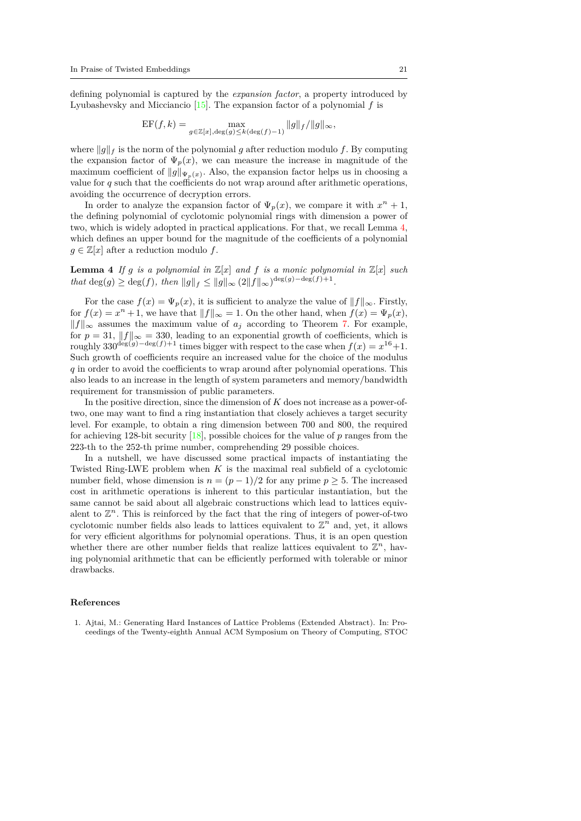defining polynomial is captured by the *expansion factor*, a property introduced by Lyubashevsky and Micciancio [\[15\]](#page-21-19). The expansion factor of a polynomial *f* is

$$
EF(f, k) = \max_{g \in \mathbb{Z}[x], \deg(g) \le k(\deg(f) - 1)} ||g||_f / ||g||_{\infty},
$$

where *∥g∥<sup>f</sup>* is the norm of the polynomial *g* after reduction modulo *f*. By computing the expansion factor of  $\Psi_p(x)$ , we can measure the increase in magnitude of the maximum coefficient of  $||g||_{\Psi_p(x)}$ . Also, the expansion factor helps us in choosing a value for *q* such that the coefficients do not wrap around after arithmetic operations, avoiding the occurrence of decryption errors.

In order to analyze the expansion factor of  $\Psi_p(x)$ , we compare it with  $x^n + 1$ , the defining polynomial of cyclotomic polynomial rings with dimension a power of two, which is widely adopted in practical applications. For that, we recall Lemma [4](#page-20-1), which defines an upper bound for the magnitude of the coefficients of a polynomial  $g \in \mathbb{Z}[x]$  after a reduction modulo  $f$ .

<span id="page-20-1"></span>**Lemma 4** *If*  $g$  *is a polynomial in*  $\mathbb{Z}[x]$  *and*  $f$  *is a monic polynomial in*  $\mathbb{Z}[x]$  *such that*  $\deg(g) \geq \deg(f)$ *, then*  $||g||_f \leq ||g||_{\infty} (2||f||_{\infty})^{\deg(g) - \deg(f) + 1}$ .

For the case  $f(x) = \Psi_p(x)$ , it is sufficient to analyze the value of  $||f||_{\infty}$ . Firstly, for  $f(x) = x^n + 1$ , we have that  $||f||_{\infty} = 1$ . On the other hand, when  $f(x) = \Psi_p(x)$ , *∥f∥<sup>∞</sup>* assumes the maximum value of *a<sup>j</sup>* according to Theorem [7.](#page-19-0) For example, for  $p = 31$ ,  $||f||_{\infty} = 330$ , leading to an exponential growth of coefficients, which is roughly  $330^{\deg(g) - \deg(f)+1}$  times bigger with respect to the case when  $f(x) = x^{16}+1$ . Such growth of coefficients require an increased value for the choice of the modulus *q* in order to avoid the coefficients to wrap around after polynomial operations. This also leads to an increase in the length of system parameters and memory/bandwidth requirement for transmission of public parameters.

In the positive direction, since the dimension of *K* does not increase as a power-oftwo, one may want to find a ring instantiation that closely achieves a target security level. For example, to obtain a ring dimension between 700 and 800, the required for achieving 128-bit security [[18](#page-21-17)], possible choices for the value of *p* ranges from the 223-th to the 252-th prime number, comprehending 29 possible choices.

In a nutshell, we have discussed some practical impacts of instantiating the Twisted Ring-LWE problem when *K* is the maximal real subfield of a cyclotomic number field, whose dimension is  $n = (p-1)/2$  for any prime  $p \geq 5$ . The increased cost in arithmetic operations is inherent to this particular instantiation, but the same cannot be said about all algebraic constructions which lead to lattices equivalent to  $\mathbb{Z}^n$ . This is reinforced by the fact that the ring of integers of power-of-two cyclotomic number fields also leads to lattices equivalent to  $\mathbb{Z}^n$  and, yet, it allows for very efficient algorithms for polynomial operations. Thus, it is an open question whether there are other number fields that realize lattices equivalent to  $\mathbb{Z}^n$ , having polynomial arithmetic that can be efficiently performed with tolerable or minor drawbacks.

# **References**

<span id="page-20-0"></span>1. Ajtai, M.: Generating Hard Instances of Lattice Problems (Extended Abstract). In: Proceedings of the Twenty-eighth Annual ACM Symposium on Theory of Computing, STOC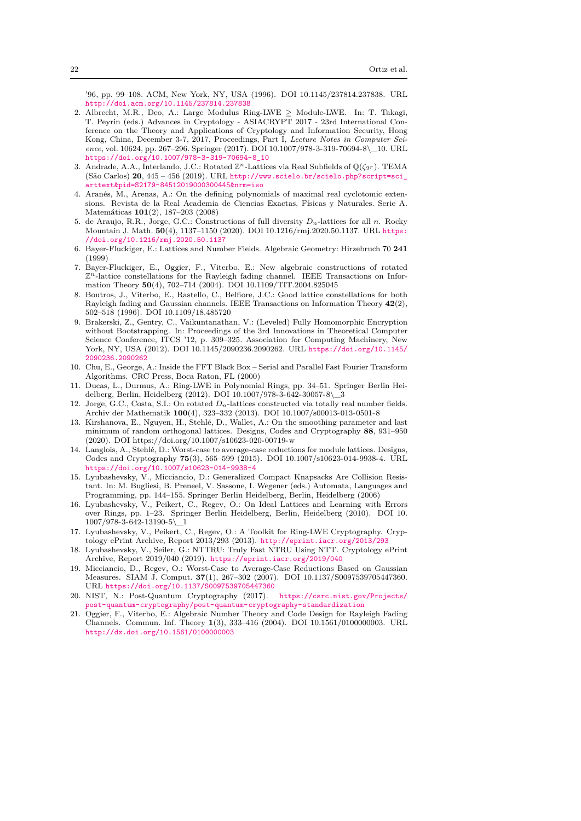'96, pp. 99–108. ACM, New York, NY, USA (1996). DOI 10.1145/237814.237838. URL <http://doi.acm.org/10.1145/237814.237838>

- <span id="page-21-3"></span>2. Albrecht, M.R., Deo, A.: Large Modulus Ring-LWE *≥* Module-LWE. In: T. Takagi, T. Peyrin (eds.) Advances in Cryptology - ASIACRYPT 2017 - 23rd International Conference on the Theory and Applications of Cryptology and Information Security, Hong Kong, China, December 3-7, 2017, Proceedings, Part I, *Lecture Notes in Computer Science*, vol. 10624, pp. 267–296. Springer (2017). DOI 10.1007/978-3-319-70694-8\\_10. URL [https://doi.org/10.1007/978-3-319-70694-8\\_10](https://doi.org/10.1007/978-3-319-70694-8_10)
- <span id="page-21-14"></span>3. Andrade, A.A., Interlando, J.C.: Rotated  $\mathbb{Z}^n$ -Lattices via Real Subfields of  $\mathbb{Q}(\zeta_{2^r})$ . TEMA (São Carlos) **20**, 445 – 456 (2019). URL [http://www.scielo.br/scielo.php?script=sci\\_](http://www.scielo.br/scielo.php?script=sci_arttext&pid=S2179-84512019000300445&nrm=iso) [arttext&pid=S2179-84512019000300445&nrm=iso](http://www.scielo.br/scielo.php?script=sci_arttext&pid=S2179-84512019000300445&nrm=iso)
- <span id="page-21-16"></span>4. Aranés, M., Arenas, A.: On the defining polynomials of maximal real cyclotomic extensions. Revista de la Real Academia de Ciencias Exactas, Físicas y Naturales. Serie A. Matemáticas **101**(2), 187–203 (2008)
- <span id="page-21-10"></span>5. de Araujo, R.R., Jorge, G.C.: Constructions of full diversity *Dn*-lattices for all *n*. Rocky Mountain J. Math. **50**(4), 1137–1150 (2020). DOI 10.1216/rmj.2020.50.1137. URL [https:](https://doi.org/10.1216/rmj.2020.50.1137) [//doi.org/10.1216/rmj.2020.50.1137](https://doi.org/10.1216/rmj.2020.50.1137)
- <span id="page-21-11"></span>6. Bayer-Fluckiger, E.: Lattices and Number Fields. Algebraic Geometry: Hirzebruch 70 **241**  $(1999)$
- <span id="page-21-7"></span>7. Bayer-Fluckiger, E., Oggier, F., Viterbo, E.: New algebraic constructions of rotated Z *<sup>n</sup>*-lattice constellations for the Rayleigh fading channel. IEEE Transactions on Information Theory **50**(4), 702–714 (2004). DOI 10.1109/TIT.2004.825045
- <span id="page-21-8"></span>8. Boutros, J., Viterbo, E., Rastello, C., Belfiore, J.C.: Good lattice constellations for both Rayleigh fading and Gaussian channels. IEEE Transactions on Information Theory **42**(2), 502–518 (1996). DOI 10.1109/18.485720
- <span id="page-21-1"></span>9. Brakerski, Z., Gentry, C., Vaikuntanathan, V.: (Leveled) Fully Homomorphic Encryption without Bootstrapping. In: Proceedings of the 3rd Innovations in Theoretical Computer Science Conference, ITCS '12, p. 309–325. Association for Computing Machinery, New York, NY, USA (2012). DOI 10.1145/2090236.2090262. URL [https://doi.org/10.1145/](https://doi.org/10.1145/2090236.2090262) [2090236.2090262](https://doi.org/10.1145/2090236.2090262)
- <span id="page-21-18"></span>10. Chu, E., George, A.: Inside the FFT Black Box – Serial and Parallel Fast Fourier Transform Algorithms. CRC Press, Boca Raton, FL (2000)
- <span id="page-21-5"></span>11. Ducas, L., Durmus, A.: Ring-LWE in Polynomial Rings, pp. 34–51. Springer Berlin Heidelberg, Berlin, Heidelberg (2012). DOI 10.1007/978-3-642-30057-8\\_3
- <span id="page-21-9"></span>12. Jorge, G.C., Costa, S.I.: On rotated *Dn*-lattices constructed via totally real number fields. Archiv der Mathematik **100**(4), 323–332 (2013). DOI 10.1007/s00013-013-0501-8
- <span id="page-21-13"></span>13. Kirshanova, E., Nguyen, H., Stehlé, D., Wallet, A.: On the smoothing parameter and last minimum of random orthogonal lattices. Designs, Codes and Cryptography **88**, 931–950 (2020). DOI https://doi.org/10.1007/s10623-020-00719-w
- <span id="page-21-2"></span>14. Langlois, A., Stehlé, D.: Worst-case to average-case reductions for module lattices. Designs, Codes and Cryptography **75**(3), 565–599 (2015). DOI 10.1007/s10623-014-9938-4. URL <https://doi.org/10.1007/s10623-014-9938-4>
- <span id="page-21-19"></span>15. Lyubashevsky, V., Micciancio, D.: Generalized Compact Knapsacks Are Collision Resistant. In: M. Bugliesi, B. Preneel, V. Sassone, I. Wegener (eds.) Automata, Languages and Programming, pp. 144–155. Springer Berlin Heidelberg, Berlin, Heidelberg (2006)
- <span id="page-21-0"></span>16. Lyubashevsky, V., Peikert, C., Regev, O.: On Ideal Lattices and Learning with Errors over Rings, pp. 1–23. Springer Berlin Heidelberg, Berlin, Heidelberg (2010). DOI 10. 1007/978-3-642-13190-5\\_1
- <span id="page-21-6"></span>17. Lyubashevsky, V., Peikert, C., Regev, O.: A Toolkit for Ring-LWE Cryptography. Cryptology ePrint Archive, Report 2013/293 (2013). <http://eprint.iacr.org/2013/293>
- <span id="page-21-17"></span>18. Lyubashevsky, V., Seiler, G.: NTTRU: Truly Fast NTRU Using NTT. Cryptology ePrint Archive, Report 2019/040 (2019). <https://eprint.iacr.org/2019/040>
- <span id="page-21-12"></span>19. Micciancio, D., Regev, O.: Worst-Case to Average-Case Reductions Based on Gaussian Measures. SIAM J. Comput. **37**(1), 267–302 (2007). DOI 10.1137/S0097539705447360. URL <https://doi.org/10.1137/S0097539705447360>
- <span id="page-21-4"></span>20. NIST, N.: Post-Quantum Cryptography (2017). [https://csrc.nist.gov/Projects/](https://csrc.nist.gov/Projects/post-quantum-cryptography/post-quantum-cryptography-standardization) [post-quantum-cryptography/post-quantum-cryptography-standardization](https://csrc.nist.gov/Projects/post-quantum-cryptography/post-quantum-cryptography-standardization)
- <span id="page-21-15"></span>21. Oggier, F., Viterbo, E.: Algebraic Number Theory and Code Design for Rayleigh Fading Channels. Commun. Inf. Theory **1**(3), 333–416 (2004). DOI 10.1561/0100000003. URL <http://dx.doi.org/10.1561/0100000003>